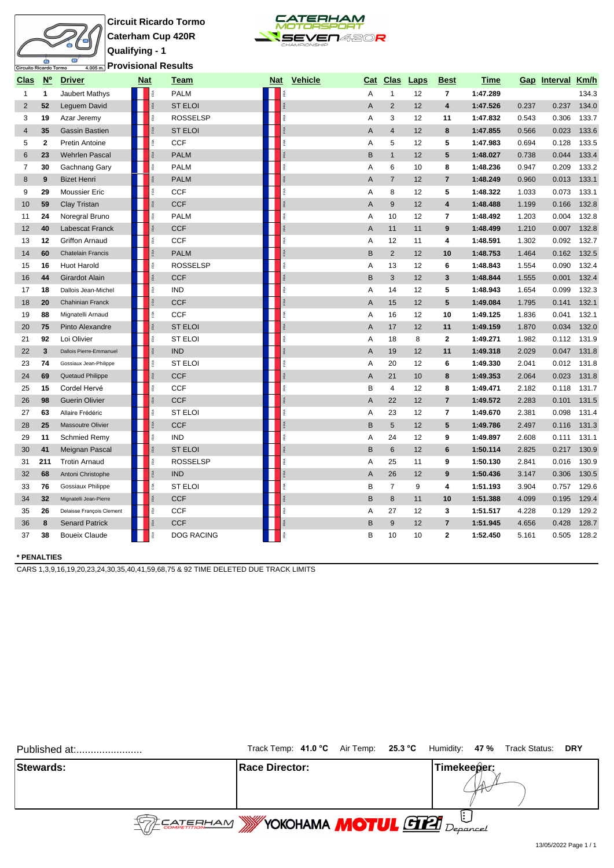# Circuito Ricardo Tormo

**Circuit Ricardo Tormo Caterham Cup 420R Qualifying - 1 Provisional Results**



| <b>Clas</b>    | $\underline{\mathsf{N}^{\mathsf{o}}}$ | <b>Driver</b>             | <u>Nat</u> |           | <u>Team</u>       | <u>Nat</u> | <b>Vehicle</b> | <u>Cat</u>     | <b>Clas</b>     | <b>Laps</b> | <b>Best</b>             | <u>Time</u> |       | Gap Interval | Km/h  |
|----------------|---------------------------------------|---------------------------|------------|-----------|-------------------|------------|----------------|----------------|-----------------|-------------|-------------------------|-------------|-------|--------------|-------|
| 1              | 1                                     | Jaubert Mathys            |            |           | <b>PALM</b>       |            |                | Α              | $\mathbf{1}$    | 12          | 7                       | 1:47.289    |       |              | 134.3 |
| $\overline{2}$ | 52                                    | Leguem David              |            | Ř         | <b>ST ELOI</b>    | RÁ         |                | A              | 2               | 12          | $\overline{\mathbf{4}}$ | 1:47.526    | 0.237 | 0.237        | 134.0 |
| 3              | 19                                    | Azar Jeremy               |            | FRA       | <b>ROSSELSP</b>   | FRA        |                | Α              | 3               | 12          | 11                      | 1:47.832    | 0.543 | 0.306        | 133.7 |
| 4              | 35                                    | <b>Gassin Bastien</b>     |            | RA.       | <b>ST ELOI</b>    | FRA        |                | A              | $\overline{4}$  | 12          | 8                       | 1:47.855    | 0.566 | 0.023        | 133.6 |
| 5              | 2                                     | Pretin Antoine            |            | īRA.      | <b>CCF</b>        | FRA        |                | Α              | 5               | 12          | 5                       | 1:47.983    | 0.694 | 0.128        | 133.5 |
| 6              | 23                                    | <b>Wehrlen Pascal</b>     |            | res.      | <b>PALM</b>       | FRA        |                | B              | $\mathbf{1}$    | 12          | 5                       | 1:48.027    | 0.738 | 0.044        | 133.4 |
| 7              | 30                                    | Gachnang Gary             |            | Ŗ.        | <b>PALM</b>       | ß.         |                | Α              | 6               | 10          | 8                       | 1:48.236    | 0.947 | 0.209        | 133.2 |
| 8              | 9                                     | <b>Bizet Henri</b>        |            |           | <b>PALM</b>       | FRA        |                | A              | $\overline{7}$  | 12          | $\overline{7}$          | 1:48.249    | 0.960 | 0.013        | 133.1 |
| 9              | 29                                    | Moussier Eric             |            | īRA.      | CCF               | FRA        |                | Α              | 8               | 12          | 5                       | 1:48.322    | 1.033 | 0.073        | 133.1 |
| 10             | 59                                    | Clay Tristan              |            | <b>RA</b> | <b>CCF</b>        | FRA        |                | A              | 9               | 12          | 4                       | 1:48.488    | 1.199 | 0.166        | 132.8 |
| 11             | 24                                    | Noregral Bruno            |            | 歪         | <b>PALM</b>       | ß.         |                | Α              | 10              | 12          | $\overline{7}$          | 1:48.492    | 1.203 | 0.004        | 132.8 |
| 12             | 40                                    | <b>Labescat Franck</b>    |            |           | <b>CCF</b>        | FRA        |                | A              | 11              | 11          | 9                       | 1:48.499    | 1.210 | 0.007        | 132.8 |
| 13             | 12                                    | <b>Griffon Arnaud</b>     |            | 歪         | <b>CCF</b>        | FRA        |                | Α              | 12              | 11          | 4                       | 1:48.591    | 1.302 | 0.092        | 132.7 |
| 14             | 60                                    | <b>Chatelain Francis</b>  |            |           | <b>PALM</b>       | $\approx$  |                | B              | $\overline{2}$  | 12          | 10                      | 1:48.753    | 1.464 | 0.162        | 132.5 |
| 15             | 16                                    | <b>Huot Harold</b>        |            | ě         | <b>ROSSELSP</b>   | ß.         |                | A              | 13              | 12          | 6                       | 1:48.843    | 1.554 | 0.090        | 132.4 |
| 16             | 44                                    | <b>Girardot Alain</b>     |            | Ř         | <b>CCF</b>        | FRA        |                | B              | 3               | 12          | 3                       | 1:48.844    | 1.555 | 0.001        | 132.4 |
| 17             | 18                                    | Dallois Jean-Michel       |            | 歪         | <b>IND</b>        | FRA        |                | A              | 14              | 12          | 5                       | 1:48.943    | 1.654 | 0.099        | 132.3 |
| 18             | 20                                    | <b>Chahinian Franck</b>   |            |           | <b>CCF</b>        | <b>RA</b>  |                | $\overline{A}$ | 15              | 12          | 5                       | 1:49.084    | 1.795 | 0.141        | 132.1 |
| 19             | 88                                    | Mignatelli Arnaud         |            | é         | <b>CCF</b>        | FRA        |                | Α              | 16              | 12          | 10                      | 1:49.125    | 1.836 | 0.041        | 132.1 |
| 20             | 75                                    | Pinto Alexandre           |            | <b>RA</b> | <b>ST ELOI</b>    | FRA        |                | Α              | 17              | 12          | 11                      | 1:49.159    | 1.870 | 0.034        | 132.0 |
| 21             | 92                                    | Loi Olivier               |            | FRA       | <b>ST ELOI</b>    | īRA        |                | Α              | 18              | 8           | $\mathbf{2}$            | 1:49.271    | 1.982 | 0.112        | 131.9 |
| 22             | 3                                     | Dallois Pierre-Emmanuel   |            | RA.       | <b>IND</b>        | FRA        |                | Α              | 19              | 12          | 11                      | 1:49.318    | 2.029 | 0.047        | 131.8 |
| 23             | 74                                    | Gossiaux Jean-Philippe    |            | é         | <b>ST ELOI</b>    | é          |                | Α              | 20              | 12          | 6                       | 1:49.330    | 2.041 | 0.012        | 131.8 |
| 24             | 69                                    | Quetaud Philippe          |            | i.        | <b>CCF</b>        |            |                | Α              | 21              | 10          | 8                       | 1:49.353    | 2.064 | 0.023        | 131.8 |
| 25             | 15                                    | Cordel Hervé              |            |           | CCF               |            |                | B              | 4               | 12          | 8                       | 1:49.471    | 2.182 | 0.118        | 131.7 |
| 26             | 98                                    | <b>Guerin Olivier</b>     |            |           | <b>CCF</b>        |            |                | A              | 22              | 12          | $\overline{7}$          | 1:49.572    | 2.283 | 0.101        | 131.5 |
| 27             | 63                                    | Allaire Frédéric          |            |           | <b>ST ELOI</b>    | 系          |                | Α              | 23              | 12          | $\overline{\mathbf{r}}$ | 1:49.670    | 2.381 | 0.098        | 131.4 |
| 28             | 25                                    | <b>Massoutre Olivier</b>  |            | ß.        | <b>CCF</b>        |            |                | B              | $5\phantom{.0}$ | 12          | 5                       | 1:49.786    | 2.497 | 0.116        | 131.3 |
| 29             | 11                                    | Schmied Remy              |            | ě         | <b>IND</b>        |            |                | Α              | 24              | 12          | 9                       | 1:49.897    | 2.608 | 0.111        | 131.1 |
| 30             | 41                                    | Meignan Pascal            |            |           | <b>ST ELOI</b>    |            |                | B              | 6               | 12          | 6                       | 1:50.114    | 2.825 | 0.217        | 130.9 |
| 31             | 211                                   | <b>Trotin Arnaud</b>      |            |           | <b>ROSSELSP</b>   | 盏          |                | A              | 25              | 11          | 9                       | 1:50.130    | 2.841 | 0.016        | 130.9 |
| 32             | 68                                    | Antoni Christophe         |            | ß.        | <b>IND</b>        |            |                | A              | 26              | 12          | 9                       | 1:50.436    | 3.147 | 0.306        | 130.5 |
| 33             | 76                                    | Gossiaux Philippe         |            |           | <b>ST ELOI</b>    |            |                | B              | $\overline{7}$  | 9           | 4                       | 1:51.193    | 3.904 | 0.757        | 129.6 |
| 34             | 32                                    | Mignatelli Jean-Pierre    |            |           | <b>CCF</b>        |            |                | B              | 8               | 11          | 10                      | 1:51.388    | 4.099 | 0.195        | 129.4 |
| 35             | 26                                    | Delaisse François Clement |            |           | CCF               |            |                | Α              | 27              | 12          | 3                       | 1:51.517    | 4.228 | 0.129        | 129.2 |
| 36             | 8                                     | <b>Senard Patrick</b>     |            |           | <b>CCF</b>        |            |                | B              | 9               | 12          | $\overline{7}$          | 1:51.945    | 4.656 | 0.428        | 128.7 |
| 37             | 38                                    | <b>Boueix Claude</b>      |            |           | <b>DOG RACING</b> | ŘÁ         |                | B              | 10              | 10          | $\overline{2}$          | 1:52.450    | 5.161 | 0.505        | 128.2 |

#### **\* PENALTIES**

CARS 1,3,9,16,19,20,23,24,30,35,40,41,59,68,75 & 92 TIME DELETED DUE TRACK LIMITS

| Published at:    |                                                                                                                                                                                                                                                                                                                     | Track Temp: 41.0 °C Air Temp: 25.3 °C Humidity: 47 % Track Status: DRY |
|------------------|---------------------------------------------------------------------------------------------------------------------------------------------------------------------------------------------------------------------------------------------------------------------------------------------------------------------|------------------------------------------------------------------------|
| <b>Stewards:</b> | <b>IRace Director:</b>                                                                                                                                                                                                                                                                                              | Timekeeper:                                                            |
|                  | $\frac{1}{2}$ $\frac{1}{2}$ $\frac{1}{2}$ $\frac{1}{2}$ $\frac{1}{2}$ $\frac{1}{2}$ $\frac{1}{2}$ $\frac{1}{2}$ $\frac{1}{2}$ $\frac{1}{2}$ $\frac{1}{2}$ $\frac{1}{2}$ $\frac{1}{2}$ $\frac{1}{2}$ $\frac{1}{2}$ $\frac{1}{2}$ $\frac{1}{2}$ $\frac{1}{2}$ $\frac{1}{2}$ $\frac{1}{2}$ $\frac{1}{2}$ $\frac{1}{2}$ |                                                                        |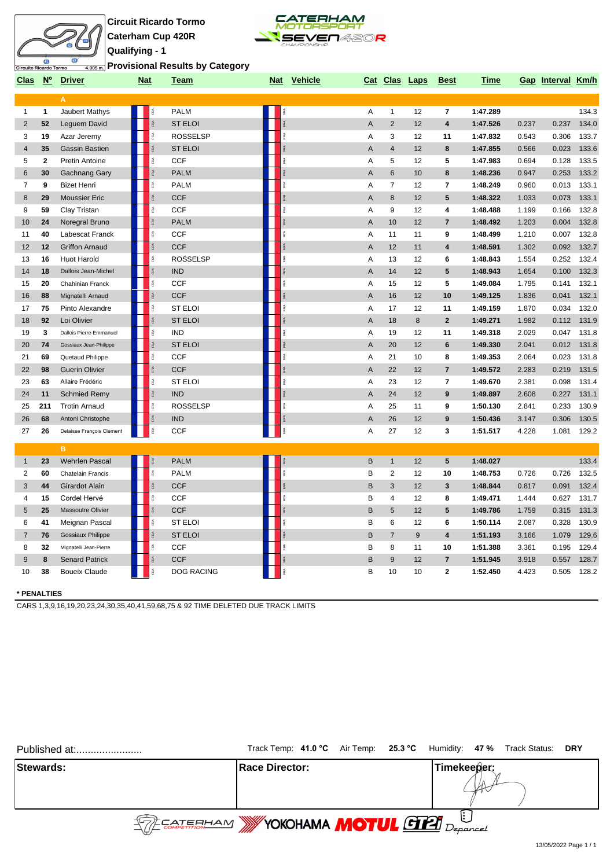



**Provisional Results by Category**

|                |              | Clas Nº Driver            | <b>Nat</b> |                      | Team              |                | Nat Vehicle |                |                | Cat Clas Laps | <b>Best</b>     | <b>Time</b> |       | Gap Interval Km/h |       |
|----------------|--------------|---------------------------|------------|----------------------|-------------------|----------------|-------------|----------------|----------------|---------------|-----------------|-------------|-------|-------------------|-------|
|                |              | A                         |            |                      |                   |                |             |                |                |               |                 |             |       |                   |       |
| $\mathbf{1}$   | 1            | Jaubert Mathys            |            |                      | <b>PALM</b>       |                |             | A              | $\mathbf{1}$   | 12            | 7               | 1:47.289    |       |                   | 134.3 |
| 2              | 52           | Leguem David              |            | i <sub>R</sub>       | <b>ST ELOI</b>    |                |             | A              | $\overline{2}$ | 12            | 4               | 1:47.526    | 0.237 | 0.237             | 134.0 |
| 3              | 19           | Azar Jeremy               |            | Ř                    | <b>ROSSELSP</b>   | FRA            |             | A              | 3              | 12            | 11              | 1:47.832    | 0.543 | 0.306             | 133.7 |
| 4              | 35           | <b>Gassin Bastien</b>     |            | <b>RA</b>            | <b>ST ELOI</b>    | FRA            |             | A              | $\overline{4}$ | 12            | 8               | 1:47.855    | 0.566 | 0.023             | 133.6 |
| 5              | $\mathbf{2}$ | Pretin Antoine            |            | īRA.                 | <b>CCF</b>        | FRA            |             | A              | 5              | 12            | 5               | 1:47.983    | 0.694 | 0.128             | 133.5 |
| 6              | 30           | Gachnang Gary             |            | ß.                   | <b>PALM</b>       | <b>RA</b>      |             | A              | 6              | 10            | 8               | 1:48.236    | 0.947 | 0.253             | 133.2 |
| $\overline{7}$ | 9            | <b>Bizet Henri</b>        |            | ě                    | <b>PALM</b>       | îRA.           |             | Α              | $\overline{7}$ | 12            | 7               | 1:48.249    | 0.960 | 0.013             | 133.1 |
| 8              | 29           | <b>Moussier Eric</b>      |            | RA.                  | <b>CCF</b>        | <b>RA</b>      |             | $\overline{A}$ | 8              | 12            | 5               | 1:48.322    | 1.033 | 0.073             | 133.1 |
| 9              | 59           | Clay Tristan              |            | ě                    | <b>CCF</b>        | FRA            |             | A              | 9              | 12            | 4               | 1:48.488    | 1.199 | 0.166             | 132.8 |
| 10             | 24           | Noregral Bruno            |            | 泵                    | <b>PALM</b>       | $\frac{d}{dt}$ |             | $\overline{A}$ | 10             | 12            | $\overline{7}$  | 1:48.492    | 1.203 | 0.004             | 132.8 |
| 11             | 40           | Labescat Franck           |            | ě                    | <b>CCF</b>        | FRA            |             | A              | 11             | 11            | 9               | 1:48.499    | 1.210 | 0.007             | 132.8 |
| 12             | 12           | <b>Griffon Arnaud</b>     |            |                      | <b>CCF</b>        | FRA            |             | A              | 12             | 11            | 4               | 1:48.591    | 1.302 | 0.092             | 132.7 |
| 13             | 16           | <b>Huot Harold</b>        |            | ě                    | <b>ROSSELSP</b>   | FRA            |             | Α              | 13             | 12            | 6               | 1:48.843    | 1.554 | 0.252             | 132.4 |
| 14             | 18           | Dallois Jean-Michel       |            | i.                   | <b>IND</b>        | FRA            |             | A              | 14             | 12            | 5               | 1:48.943    | 1.654 | 0.100             | 132.3 |
| 15             | 20           | Chahinian Franck          |            | ß.                   | <b>CCF</b>        | FRA            |             | Α              | 15             | 12            | 5               | 1:49.084    | 1.795 | 0.141             | 132.1 |
| 16             | 88           | Mignatelli Arnaud         |            |                      | <b>CCF</b>        | FRA            |             | A              | 16             | 12            | 10              | 1:49.125    | 1.836 | 0.041             | 132.1 |
| 17             | 75           | Pinto Alexandre           |            |                      | <b>ST ELOI</b>    | FRA            |             | Α              | 17             | 12            | 11              | 1:49.159    | 1.870 | 0.034             | 132.0 |
| 18             | 92           | Loi Olivier               |            | $\tilde{\mathbb{R}}$ | <b>ST ELOI</b>    | <b>RA</b>      |             | A              | 18             | 8             | $\mathbf 2$     | 1:49.271    | 1.982 | 0.112             | 131.9 |
| 19             | 3            | Dallois Pierre-Emmanuel   |            | é                    | <b>IND</b>        | ß.             |             | Α              | 19             | 12            | 11              | 1:49.318    | 2.029 | 0.047             | 131.8 |
| 20             | 74           | Gossiaux Jean-Philippe    |            | RA.                  | <b>ST ELOI</b>    | FRA            |             | A              | 20             | 12            | 6               | 1:49.330    | 2.041 | 0.012             | 131.8 |
| 21             | 69           | Quetaud Philippe          |            | FRA                  | <b>CCF</b>        | FRA            |             | A              | 21             | 10            | 8               | 1:49.353    | 2.064 | 0.023             | 131.8 |
| 22             | 98           | <b>Guerin Olivier</b>     |            | Ř                    | <b>CCF</b>        | RÁ             |             | $\overline{A}$ | 22             | 12            | $\overline{7}$  | 1:49.572    | 2.283 | 0.219             | 131.5 |
| 23             | 63           | Allaire Frédéric          |            | Ŗ.                   | <b>ST ELOI</b>    | ß.             |             | A              | 23             | 12            | $\overline{7}$  | 1:49.670    | 2.381 | 0.098             | 131.4 |
| 24             | 11           | <b>Schmied Remy</b>       |            | FRA <sub>1</sub>     | <b>IND</b>        | FRA            |             | $\overline{A}$ | 24             | 12            | 9               | 1:49.897    | 2.608 | 0.227             | 131.1 |
| 25             | 211          | <b>Trotin Arnaud</b>      |            | īRA.                 | <b>ROSSELSP</b>   | FRA            |             | Α              | 25             | 11            | 9               | 1:50.130    | 2.841 | 0.233             | 130.9 |
| 26             | 68           | Antoni Christophe         |            | FRA                  | <b>IND</b>        | FRA            |             | A              | 26             | 12            | 9               | 1:50.436    | 3.147 | 0.306             | 130.5 |
| 27             | 26           | Delaisse François Clement |            | Ř                    | <b>CCF</b>        | FRA            |             | A              | 27             | 12            | 3               | 1:51.517    | 4.228 | 1.081             | 129.2 |
|                |              | B.                        |            |                      |                   |                |             |                |                |               |                 |             |       |                   |       |
| $\mathbf{1}$   | 23           | <b>Wehrlen Pascal</b>     |            |                      | <b>PALM</b>       | FRA            |             | B              | $\mathbf{1}$   | 12            | $5\phantom{.0}$ | 1:48.027    |       |                   | 133.4 |
| $\overline{2}$ | 60           | Chatelain Francis         |            | īRA.                 | <b>PALM</b>       | īRA.           |             | B              | $\overline{2}$ | 12            | 10              | 1:48.753    | 0.726 | 0.726             | 132.5 |
| 3              | 44           | Girardot Alain            |            |                      | <b>CCF</b>        | $\tilde{R}$    |             | B              | 3              | 12            | 3               | 1:48.844    | 0.817 | 0.091             | 132.4 |
| 4              | 15           | Cordel Hervé              |            | Ŗ.                   | <b>CCF</b>        | i.             |             | B              | 4              | 12            | 8               | 1:49.471    | 1.444 | 0.627             | 131.7 |
| 5              | 25           | Massoutre Olivier         |            |                      | <b>CCF</b>        | FRA            |             | $\sf B$        | 5              | 12            | 5               | 1:49.786    | 1.759 | 0.315             | 131.3 |
| 6              | 41           | Meignan Pascal            |            | ě                    | <b>ST ELOI</b>    | īRA.           |             | B              | 6              | 12            | 6               | 1:50.114    | 2.087 | 0.328             | 130.9 |
| $\overline{7}$ | 76           | Gossiaux Philippe         |            | <b>RA</b>            | <b>ST ELOI</b>    | <b>RA</b>      |             | B              | $\overline{7}$ | 9             | 4               | 1:51.193    | 3.166 | 1.079             | 129.6 |
| 8              | 32           | Mignatelli Jean-Pierre    |            | 혽                    | <b>CCF</b>        | FRA            |             | B              | 8              | 11            | 10              | 1:51.388    | 3.361 | 0.195             | 129.4 |
| 9              | 8            | <b>Senard Patrick</b>     |            |                      | <b>CCF</b>        | FRA            |             | B              | 9              | 12            | $\overline{7}$  | 1:51.945    | 3.918 | 0.557             | 128.7 |
| 10             | 38           | <b>Boueix Claude</b>      |            | ě                    | <b>DOG RACING</b> | FRA            |             | B              | 10             | 10            | $\mathbf{2}$    | 1:52.450    | 4.423 | 0.505             | 128.2 |

#### **\* PENALTIES**

CARS 1,3,9,16,19,20,23,24,30,35,40,41,59,68,75 & 92 TIME DELETED DUE TRACK LIMITS

| Published at:    | Track Temp: 41.0 °C Air Temp: 25.3 °C Humidity: 47 % Track Status: DRY |             |
|------------------|------------------------------------------------------------------------|-------------|
| <b>Stewards:</b> | <b>Race Director:</b>                                                  | Timekeeper: |
|                  | <b>STEE CATERHAM WYOKOHAMA MOTUL GIEL</b> Deparced                     |             |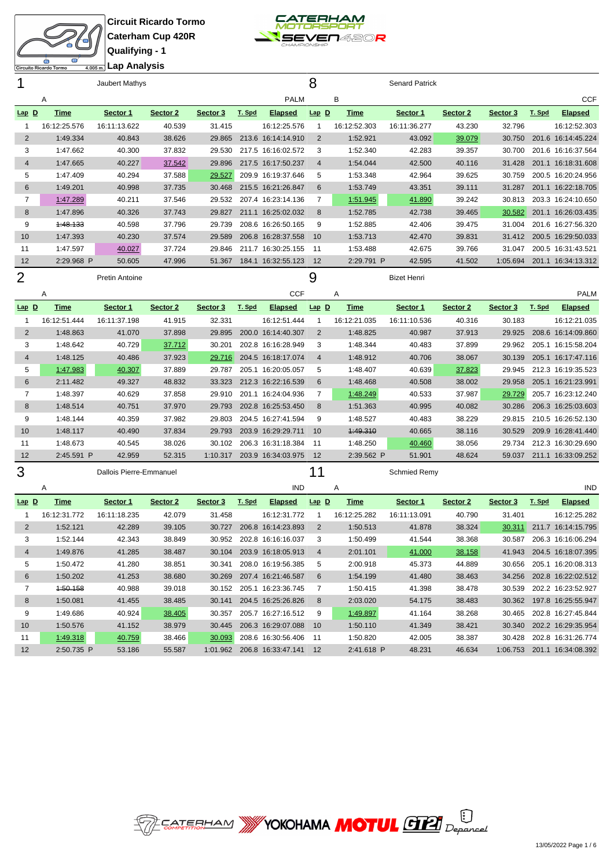



|                   | ை<br>Ф                   | Qualifying - 1<br><del>ี ∡.005 m.</del> Lap Analysis |                  |          |        |                                |                |                          |                        |                     |          |        |                                           |
|-------------------|--------------------------|------------------------------------------------------|------------------|----------|--------|--------------------------------|----------------|--------------------------|------------------------|---------------------|----------|--------|-------------------------------------------|
|                   | Circuito Ricardo Tormo   |                                                      |                  |          |        |                                |                |                          |                        |                     |          |        |                                           |
| 1                 |                          | Jaubert Mathys                                       |                  |          |        |                                | 8              |                          | <b>Senard Patrick</b>  |                     |          |        |                                           |
|                   | Α                        |                                                      |                  |          |        | <b>PALM</b>                    |                | B                        |                        |                     |          |        | <b>CCF</b>                                |
| $Lap$ $D$         | <b>Time</b>              | Sector 1                                             | Sector 2         | Sector 3 | T. Spd | <b>Elapsed</b>                 | $Lap$ $D$      | <b>Time</b>              | Sector 1               | Sector 2            | Sector 3 | T. Spd | <b>Elapsed</b>                            |
| $\mathbf{1}$      | 16:12:25.576             | 16:11:13.622                                         | 40.539           | 31.415   |        | 16:12:25.576                   | $\mathbf{1}$   | 16:12:52.303             | 16:11:36.277           | 43.230              | 32.796   |        | 16:12:52.303                              |
| $\overline{2}$    | 1:49.334                 | 40.843                                               | 38.626           | 29.865   |        | 213.6 16:14:14.910             | $\overline{2}$ | 1:52.921                 | 43.092                 | 39.079              | 30.750   |        | 201.6 16:14:45.224                        |
| 3                 | 1:47.662                 | 40.300                                               | 37.832           | 29.530   |        | 217.5 16:16:02.572             | 3              | 1:52.340                 | 42.283                 | 39.357              | 30.700   |        | 201.6 16:16:37.564                        |
| 4                 | 1:47.665                 | 40.227                                               | 37.542           | 29.896   |        | 217.5 16:17:50.237             | 4              | 1:54.044                 | 42.500                 | 40.116              | 31.428   |        | 201.1 16:18:31.608                        |
| 5                 | 1:47.409                 | 40.294                                               | 37.588           | 29.527   |        | 209.9 16:19:37.646             | 5              | 1:53.348                 | 42.964                 | 39.625              | 30.759   |        | 200.5 16:20:24.956                        |
| 6                 | 1:49.201                 | 40.998                                               | 37.735           | 30.468   |        | 215.5 16:21:26.847             | 6              | 1:53.749                 | 43.351                 | 39.111              | 31.287   |        | 201.1 16:22:18.705                        |
| $\overline{7}$    | 1:47.289                 | 40.211                                               | 37.546           | 29.532   |        | 207.4 16:23:14.136             | 7              | 1:51.945                 | 41.890                 | 39.242              | 30.813   |        | 203.3 16:24:10.650                        |
| 8                 | 1:47.896                 | 40.326                                               | 37.743           | 29.827   |        | 211.1 16:25:02.032             | 8              | 1:52.785                 | 42.738                 | 39.465              | 30.582   |        | 201.1 16:26:03.435                        |
| 9                 | 1:48.133                 | 40.598                                               | 37.796           | 29.739   |        | 208.6 16:26:50.165             | 9              | 1:52.885                 | 42.406                 | 39.475              | 31.004   |        | 201.6 16:27:56.320                        |
| 10                | 1:47.393                 | 40.230                                               | 37.574           | 29.589   |        | 206.8 16:28:37.558             | 10             | 1:53.713                 | 42.470                 | 39.831              | 31.412   |        | 200.5 16:29:50.033                        |
| 11                | 1:47.597                 | 40.027                                               | 37.724           | 29.846   |        | 211.7 16:30:25.155             | 11             | 1:53.488                 | 42.675                 | 39.766              | 31.047   |        | 200.5 16:31:43.521                        |
| 12                | 2:29.968 P               | 50.605                                               | 47.996           | 51.367   |        | 184.1 16:32:55.123             | 12             | 2:29.791 P               | 42.595                 | 41.502              | 1:05.694 |        | 201.1 16:34:13.312                        |
| $\overline{2}$    |                          | <b>Pretin Antoine</b>                                |                  |          |        |                                | 9              |                          | <b>Bizet Henri</b>     |                     |          |        |                                           |
|                   | Α                        |                                                      |                  |          |        | <b>CCF</b>                     |                | Α                        |                        |                     |          |        | <b>PALM</b>                               |
| $Lap$ $D$         | <b>Time</b>              | Sector 1                                             | Sector 2         | Sector 3 | T. Spd | <b>Elapsed</b>                 | $Lap$ $D$      | <b>Time</b>              | Sector 1               | Sector <sub>2</sub> | Sector 3 | T. Spd | <b>Elapsed</b>                            |
| -1                | 16:12:51.444             | 16:11:37.198                                         | 41.915           | 32.331   |        | 16:12:51.444                   | -1             | 16:12:21.035             | 16:11:10.536           | 40.316              | 30.183   |        | 16:12:21.035                              |
| $\overline{2}$    | 1:48.863                 | 41.070                                               | 37.898           | 29.895   |        | 200.0 16:14:40.307             | $\overline{2}$ | 1:48.825                 | 40.987                 | 37.913              | 29.925   |        | 208.6 16:14:09.860                        |
| 3                 | 1:48.642                 | 40.729                                               | 37.712           | 30.201   |        | 202.8 16:16:28.949             | 3              | 1:48.344                 | 40.483                 | 37.899              | 29.962   |        | 205.1 16:15:58.204                        |
| 4                 | 1:48.125                 | 40.486                                               | 37.923           | 29.716   |        | 204.5 16:18:17.074             | 4              | 1:48.912                 | 40.706                 | 38.067              | 30.139   |        | 205.1 16:17:47.116                        |
| 5                 | 1:47.983                 | 40.307                                               | 37.889           | 29.787   |        | 205.1 16:20:05.057             | 5              | 1:48.407                 | 40.639                 | 37.823              | 29.945   |        | 212.3 16:19:35.523                        |
| 6                 | 2:11.482                 | 49.327                                               | 48.832           | 33.323   |        | 212.3 16:22:16.539             | 6              | 1:48.468                 | 40.508                 | 38.002              | 29.958   |        | 205.1 16:21:23.991                        |
| 7                 | 1:48.397                 | 40.629                                               | 37.858           | 29.910   |        | 201.1 16:24:04.936             | 7              | 1:48.249                 | 40.533                 | 37.987              | 29.729   |        | 205.7 16:23:12.240                        |
| 8                 | 1:48.514                 | 40.751                                               | 37.970           | 29.793   |        | 202.8 16:25:53.450             | 8              | 1:51.363                 | 40.995                 | 40.082              | 30.286   |        | 206.3 16:25:03.603                        |
| 9                 | 1:48.144                 | 40.359                                               | 37.982           | 29.803   |        | 204.5 16:27:41.594             | 9              | 1:48.527                 | 40.483                 | 38.229              | 29.815   |        | 210.5 16:26:52.130                        |
| 10                | 1:48.117                 | 40.490                                               | 37.834           | 29.793   |        | 203.9 16:29:29.711             | 10             | 4:49.310                 | 40.665                 | 38.116              | 30.529   |        | 209.9 16:28:41.440                        |
| 11                | 1:48.673                 | 40.545                                               | 38.026           | 30.102   |        | 206.3 16:31:18.384             | 11             | 1:48.250                 | 40.460                 | 38.056              | 29.734   |        | 212.3 16:30:29.690                        |
| 12                | 2:45.591 P               | 42.959                                               | 52.315           | 1:10.317 |        | 203.9 16:34:03.975             | 12             | 2:39.562 P               | 51.901                 | 48.624              | 59.037   |        | 211.1 16:33:09.252                        |
| 3                 |                          | <b>Dallois Pierre-Emmanuel</b>                       |                  |          |        |                                | 11             |                          | <b>Schmied Remy</b>    |                     |          |        |                                           |
|                   | Α                        |                                                      |                  |          |        | <b>IND</b>                     |                | Α                        |                        |                     |          |        | <b>IND</b>                                |
| $Lap$ $D$         | <b>Time</b>              | Sector 1                                             | Sector 2         | Sector 3 | T. Spd | <b>Elapsed</b>                 | $Lap$ $D$      | <b>Time</b>              | Sector 1               | Sector 2            | Sector 3 | T. Spd | <b>Elapsed</b>                            |
| $\mathbf{1}$      |                          |                                                      |                  | 31.458   |        | 16:12:31.772                   | $\mathbf{1}$   |                          |                        |                     |          |        |                                           |
| 2                 | 16:12:31.772<br>1:52.121 | 16:11:18.235<br>42.289                               | 42.079<br>39.105 |          |        | 30.727 206.8 16:14:23.893      | 2              | 16:12:25.282<br>1:50.513 | 16:11:13.091<br>41.878 | 40.790<br>38.324    | 31.401   |        | 16:12:25.282<br>30.311 211.7 16:14:15.795 |
| 3                 | 1:52.144                 | 42.343                                               | 38.849           |          |        | 30.952 202.8 16:16:16.037      | 3              | 1:50.499                 | 41.544                 | 38.368              |          |        | 30.587 206.3 16:16:06.294                 |
| 4                 | 1:49.876                 | 41.285                                               | 38.487           |          |        | 30.104 203.9 16:18:05.913      | 4              | 2:01.101                 | 41.000                 | 38.158              |          |        | 41.943 204.5 16:18:07.395                 |
| 5                 | 1:50.472                 | 41.280                                               | 38.851           |          |        | 30.341 208.0 16:19:56.385      | 5              | 2:00.918                 | 45.373                 | 44.889              |          |        | 30.656 205.1 16:20:08.313                 |
| 6                 | 1:50.202                 | 41.253                                               | 38.680           |          |        | 30.269 207.4 16:21:46.587      | 6              | 1:54.199                 | 41.480                 | 38.463              |          |        | 34.256 202.8 16:22:02.512                 |
| 7                 | 1:50.158                 | 40.988                                               | 39.018           |          |        | 30.152 205.1 16:23:36.745      | $\overline{7}$ | 1:50.415                 | 41.398                 | 38.478              |          |        | 30.539 202.2 16:23:52.927                 |
| 8                 | 1:50.081                 | 41.455                                               | 38.485           |          |        | 30.141 204.5 16:25:26.826      | 8              | 2:03.020                 | 54.175                 | 38.483              |          |        | 30.362 197.8 16:25:55.947                 |
| 9                 | 1:49.686                 | 40.924                                               | 38.405           |          |        | 30.357 205.7 16:27:16.512      | 9              | 1:49.897                 | 41.164                 | 38.268              |          |        | 30.465 202.8 16:27:45.844                 |
| 10                | 1:50.576                 | 41.152                                               | 38.979           |          |        | 30.445 206.3 16:29:07.088 10   |                | 1:50.110                 | 41.349                 | 38.421              |          |        | 30.340 202.2 16:29:35.954                 |
| 11                | 1:49.318                 | 40.759                                               | 38.466           |          |        | 30.093 208.6 16:30:56.406 11   |                | 1:50.820                 | 42.005                 | 38.387              |          |        | 30.428 202.8 16:31:26.774                 |
| $12 \overline{ }$ | 2:50.735 P               | 53.186                                               | 55.587           |          |        | 1:01.962 206.8 16:33:47.141 12 |                | 2:41.618 P               | 48.231                 | 46.634              |          |        | 1:06.753 201.1 16:34:08.392               |
|                   |                          |                                                      |                  |          |        |                                |                |                          |                        |                     |          |        |                                           |
|                   |                          |                                                      |                  |          |        |                                |                |                          |                        |                     |          |        |                                           |
|                   |                          |                                                      |                  |          |        |                                |                |                          |                        |                     |          |        |                                           |

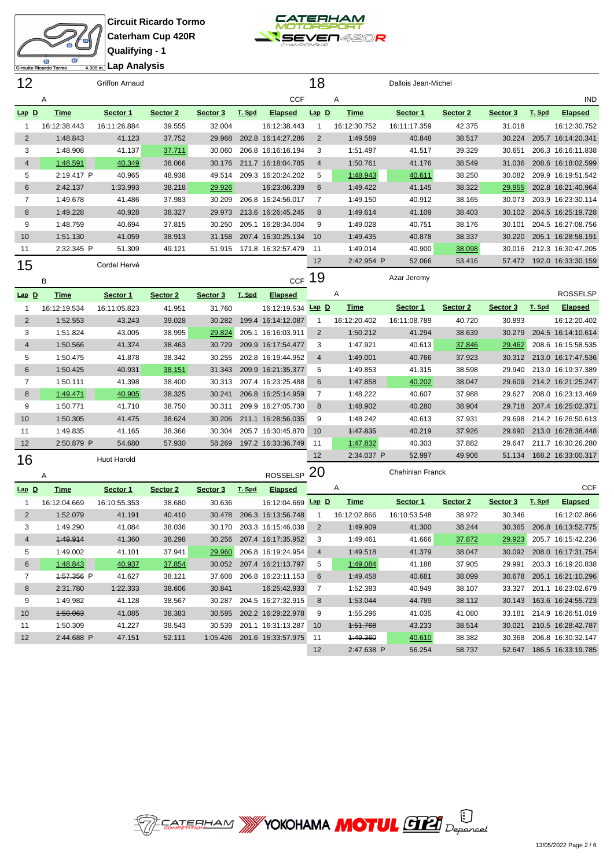$\sum_{i=1}^{n}$  $\mathbf \Phi$ **Lap Analysis**

**Circuit Ricardo Tormo Caterham Cup 420R Qualifying - 1**



|                | oncuito Nicaruo Tornic |                |                     |          |        |                                |                 |              |                     |          |               |        |                           |
|----------------|------------------------|----------------|---------------------|----------|--------|--------------------------------|-----------------|--------------|---------------------|----------|---------------|--------|---------------------------|
| 12             |                        | Griffon Arnaud |                     |          |        |                                | 18              |              | Dallois Jean-Michel |          |               |        |                           |
|                | Α                      |                |                     |          |        | <b>CCF</b>                     |                 | Α            |                     |          |               |        | IND                       |
| <u>Lap D</u>   | <b>Time</b>            | Sector 1       | Sector <sub>2</sub> | Sector 3 | T. Spd | <b>Elapsed</b>                 | $Lap$ $D$       | <b>Time</b>  | Sector 1            | Sector 2 | Sector 3      | T. Spd | <b>Elapsed</b>            |
| 1              | 16:12:38.443           | 16:11:26.884   | 39.555              | 32.004   |        | 16:12:38.443                   | $\mathbf{1}$    | 16:12:30.752 | 16:11:17.359        | 42.375   | 31.018        |        | 16:12:30.752              |
| $\overline{2}$ | 1:48.843               | 41.123         | 37.752              | 29.968   |        | 202.8 16:14:27.286             | $\overline{2}$  | 1:49.589     | 40.848              | 38.517   | 30.224        |        | 205.7 16:14:20.341        |
| 3              | 1:48.908               | 41.137         | 37.711              | 30.060   |        | 206.8 16:16:16.194             | 3               | 1:51.497     | 41.517              | 39.329   | 30.651        |        | 206.3 16:16:11.838        |
| $\overline{4}$ | 1:48.591               | 40.349         | 38.066              | 30.176   |        | 211.7 16:18:04.785             | 4               | 1:50.761     | 41.176              | 38.549   | 31.036        |        | 208.6 16:18:02.599        |
| 5              | 2:19.417 P             | 40.965         | 48.938              | 49.514   |        | 209.3 16:20:24.202             | 5               | 1:48.943     | 40.611              | 38.250   | 30.082        |        | 209.9 16:19:51.542        |
| 6              | 2:42.137               | 1:33.993       | 38.218              | 29.926   |        | 16:23:06.339                   | 6               | 1:49.422     | 41.145              | 38.322   | 29.955        |        | 202.8 16:21:40.964        |
| 7              | 1:49.678               | 41.486         | 37.983              | 30.209   |        | 206.8 16:24:56.017             | 7               | 1:49.150     | 40.912              | 38.165   | 30.073        |        | 203.9 16:23:30.114        |
| 8              | 1:49.228               | 40.928         | 38.327              | 29.973   |        | 213.6 16:26:45.245             | 8               | 1:49.614     | 41.109              | 38.403   | 30.102        |        | 204.5 16:25:19.728        |
| 9              | 1:48.759               | 40.694         | 37.815              | 30.250   |        | 205.1 16:28:34.004             | 9               | 1:49.028     | 40.751              | 38.176   | 30.101        |        | 204.5 16:27:08.756        |
| 10             | 1:51.130               | 41.059         | 38.913              | 31.158   |        | 207.4 16:30:25.134             | 10              | 1:49.435     | 40.878              | 38.337   | 30.220        |        | 205.1 16:28:58.191        |
| 11             | 2:32.345 P             | 51.309         | 49.121              | 51.915   |        | 171.8 16:32:57.479             | 11              | 1:49.014     | 40.900              | 38.098   | 30.016        |        | 212.3 16:30:47.205        |
| 15             |                        | Cordel Hervé   |                     |          |        |                                | 12              | 2:42.954 P   | 52.066              | 53.416   | 57.472        |        | 192.0 16:33:30.159        |
|                | B                      |                |                     |          |        | <b>CCF</b>                     | 19              |              | Azar Jeremy         |          |               |        |                           |
| <u>Lap D</u>   | <b>Time</b>            | Sector 1       | Sector <sub>2</sub> | Sector 3 | T. Spd | <b>Elapsed</b>                 |                 | Α            |                     |          |               |        | <b>ROSSELSP</b>           |
| 1              | 16:12:19.534           | 16:11:05.823   | 41.951              | 31.760   |        | 16:12:19.534 Lap D             |                 | <b>Time</b>  | Sector 1            | Sector 2 | Sector 3      | T. Spd | <b>Elapsed</b>            |
| 2              | 1:52.553               | 43.243         | 39.028              | 30.282   |        | 199.4 16:14:12.087             | 1               | 16:12:20.402 | 16:11:08.789        | 40.720   | 30.893        |        | 16:12:20.402              |
| 3              | 1:51.824               | 43.005         | 38.995              | 29.824   |        | 205.1 16:16:03.911             | $\overline{2}$  | 1:50.212     | 41.294              | 38.639   | 30.279        |        | 204.5 16:14:10.614        |
| 4              | 1:50.566               | 41.374         | 38.463              | 30.729   |        | 209.9 16:17:54.477             | 3               | 1:47.921     | 40.613              | 37.846   | 29.462        |        | 208.6 16:15:58.535        |
| 5              | 1:50.475               | 41.878         | 38.342              | 30.255   |        | 202.8 16:19:44.952             | 4               | 1:49.001     | 40.766              | 37.923   | 30.312        |        | 213.0 16:17:47.536        |
| 6              | 1:50.425               | 40.931         | 38.151              | 31.343   |        | 209.9 16:21:35.377             | 5               | 1:49.853     | 41.315              | 38.598   | 29.940        |        | 213.0 16:19:37.389        |
| 7              | 1:50.111               | 41.398         | 38.400              | 30.313   |        | 207.4 16:23:25.488             | $6\phantom{1}6$ | 1:47.858     | 40.202              | 38.047   | 29.609        |        | 214.2 16:21:25.247        |
| 8              | 1:49.471               | 40.905         | 38.325              | 30.241   |        | 206.8 16:25:14.959             | 7               | 1:48.222     | 40.607              | 37.988   | 29.627        |        | 208.0 16:23:13.469        |
| 9              | 1:50.771               | 41.710         | 38.750              | 30.311   |        | 209.9 16:27:05.730             | 8               | 1:48.902     | 40.280              | 38.904   | 29.718        |        | 207.4 16:25:02.371        |
| 10             | 1:50.305               | 41.475         | 38.624              | 30.206   |        | 211.1 16:28:56.035             | 9               | 1:48.242     | 40.613              | 37.931   | 29.698        |        | 214.2 16:26:50.613        |
| 11             | 1:49.835               | 41.165         | 38.366              | 30.304   |        | 205.7 16:30:45.870             | 10              | 4:47.835     | 40.219              | 37.926   | 29.690        |        | 213.0 16:28:38.448        |
| 12             | 2:50.879 P             | 54.680         | 57.930              | 58.269   |        | 197.2 16:33:36.749             | 11              | 1:47.832     | 40.303              | 37.882   | 29.647        |        | 211.7 16:30:26.280        |
| 16             |                        | Huot Harold    |                     |          |        |                                | 12              | 2:34.037 P   | 52.997              | 49.906   | 51.134        |        | 168.2 16:33:00.317        |
|                | Α                      |                |                     |          |        | <b>ROSSELSP</b>                | 20              |              | Chahinian Franck    |          |               |        |                           |
| <u>Lap D</u>   | <b>Time</b>            | Sector 1       | Sector 2            | Sector 3 | T. Spd | <b>Elapsed</b>                 |                 | Α            |                     |          |               |        | <b>CCF</b>                |
| 1              | 16:12:04.669           | 16:10:55.353   | 38.680              | 30.636   |        | 16:12:04.669 Lap D             |                 | <b>Time</b>  | Sector 1            | Sector 2 | Sector 3      | T. Spd | <b>Elapsed</b>            |
| $\overline{2}$ | 1:52.079               | 41.191         | 40.410              | 30.478   |        | 206.3 16:13:56.748             | 1               | 16:12:02.866 | 16:10:53.548        | 38.972   | 30.346        |        | 16:12:02.866              |
| 3              | 1:49.290               | 41.084         | 38.036              | 30.170   |        | 203.3 16:15:46.038             | $\overline{2}$  | 1:49.909     | 41.300              | 38.244   | 30.365        |        | 206.8 16:13:52.775        |
| 4              | 1:49.914               | 41.360         | 38.298              | 30.256   |        | 207.4 16:17:35.952             | 3               | 1:49.461     | 41.666              | 37.872   | <u>29.923</u> |        | 205.7 16:15:42.236        |
| 5              | 1:49.002               | 41.101         | 37.941              | 29.960   |        | 206.8 16:19:24.954             | 4               | 1:49.518     | 41.379              | 38.047   | 30.092        |        | 208.0 16:17:31.754        |
| 6              | 1:48.843               | 40.937         | 37.854              | 30.052   |        | 207.4 16:21:13.797             | 5               | 1:49.084     | 41.188              | 37.905   | 29.991        |        | 203.3 16:19:20.838        |
| 7              | 1:57.356 P             | 41.627         | 38.121              | 37.608   |        | 206.8 16:23:11.153             | 6               | 1:49.458     | 40.681              | 38.099   | 30.678        |        | 205.1 16:21:10.296        |
| 8              | 2:31.780               | 1:22.333       | 38.606              | 30.841   |        | 16:25:42.933                   | $\overline{7}$  | 1:52.383     | 40.949              | 38.107   | 33.327        |        | 201.1 16:23:02.679        |
| 9              | 1:49.982               | 41.128         | 38.567              |          |        | 30.287 204.5 16:27:32.915      | 8               | 1:53.044     | 44.789              | 38.112   | 30.143        |        | 163.6 16:24:55.723        |
| 10             | 1:50.063               | 41.085         | 38.383              | 30.595   |        | 202.2 16:29:22.978             | 9               | 1:55.296     | 41.035              | 41.080   | 33.181        |        | 214.9 16:26:51.019        |
| 11             | 1:50.309               | 41.227         | 38.543              | 30.539   |        | 201.1 16:31:13.287             | 10              | 1:51.768     | 43.233              | 38.514   |               |        | 30.021 210.5 16:28:42.787 |
| 12             | 2:44.688 P             | 47.151         | 52.111              |          |        | 1:05.426 201.6 16:33:57.975 11 |                 | 4:49.360     | 40.610              | 38.382   |               |        | 30.368 206.8 16:30:32.147 |



2:47.638 P 56.254 58.737 52.647 186.5 16:33:19.785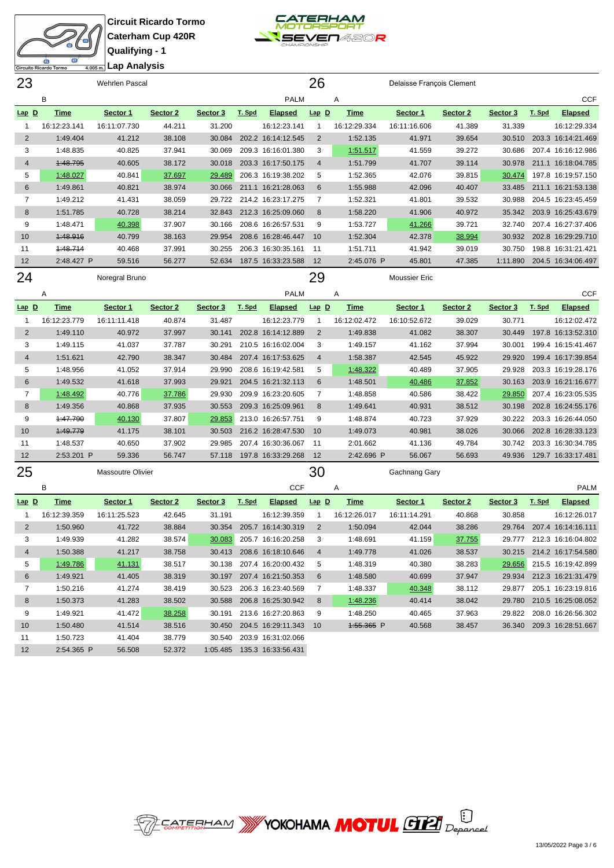$\bullet$ 

Circuito Ricardo Tormo

**Lap Analysis**

**Circuit Ricardo Tormo Caterham Cup 420R Qualifying - 1**



| 23             |                      | <b>Wehrlen Pascal</b>    |                  |                  |        |                                          | 26              |                      | Delaisse François Clement |                  |                  |        |                                          |
|----------------|----------------------|--------------------------|------------------|------------------|--------|------------------------------------------|-----------------|----------------------|---------------------------|------------------|------------------|--------|------------------------------------------|
|                | B                    |                          |                  |                  |        | <b>PALM</b>                              |                 | Α                    |                           |                  |                  |        | <b>CCF</b>                               |
| $Lap$ D        | <b>Time</b>          | Sector 1                 | Sector 2         | Sector 3         | T. Spd | <b>Elapsed</b>                           | $Lap$ D         | <b>Time</b>          | Sector 1                  | Sector 2         | Sector 3         | T. Spd | <b>Elapsed</b>                           |
| 1              | 16:12:23.141         | 16:11:07.730             | 44.211           | 31.200           |        | 16:12:23.141                             | $\mathbf{1}$    | 16:12:29.334         | 16:11:16.606              | 41.389           | 31.339           |        | 16:12:29.334                             |
| $\overline{2}$ | 1:49.404             | 41.212                   | 38.108           | 30.084           |        | 202.2 16:14:12.545                       | $\overline{2}$  | 1:52.135             | 41.971                    | 39.654           | 30.510           |        | 203.3 16:14:21.469                       |
| 3              | 1:48.835             | 40.825                   | 37.941           | 30.069           |        | 209.3 16:16:01.380                       | 3               | 1:51.517             | 41.559                    | 39.272           | 30.686           |        | 207.4 16:16:12.986                       |
| $\overline{4}$ | 1:48.795             | 40.605                   | 38.172           | 30.018           |        | 203.3 16:17:50.175                       | $\overline{4}$  | 1:51.799             | 41.707                    | 39.114           | 30.978           |        | 211.1 16:18:04.785                       |
| 5              | 1:48.027             | 40.841                   | 37.697           | 29.489           |        | 206.3 16:19:38.202                       | 5               | 1:52.365             | 42.076                    | 39.815           | 30.474           |        | 197.8 16:19:57.150                       |
| 6              | 1:49.861             | 40.821                   | 38.974           | 30.066           |        | 211.1 16:21:28.063                       | 6               | 1:55.988             | 42.096                    | 40.407           | 33.485           |        | 211.1 16:21:53.138                       |
| 7              | 1:49.212             | 41.431                   | 38.059           | 29.722           |        | 214.2 16:23:17.275                       | 7               | 1:52.321             | 41.801                    | 39.532           | 30.988           |        | 204.5 16:23:45.459                       |
| 8              | 1:51.785             | 40.728                   | 38.214           | 32.843           |        | 212.3 16:25:09.060                       | 8               | 1:58.220             | 41.906                    | 40.972           | 35.342           |        | 203.9 16:25:43.679                       |
| 9              | 1:48.471             | 40.398                   | 37.907           | 30.166           |        | 208.6 16:26:57.531                       | 9               | 1:53.727             | 41.266                    | 39.721           | 32.740           |        | 207.4 16:27:37.406                       |
| 10             | 4:48.916             | 40.799                   | 38.163           | 29.954           |        | 208.6 16:28:46.447                       | 10              | 1:52.304             | 42.378                    | 38.994           | 30.932           |        | 202.8 16:29:29.710                       |
| 11             | 1:48.714             | 40.468                   | 37.991           | 30.255           |        | 206.3 16:30:35.161                       | 11              | 1:51.711             | 41.942                    | 39.019           | 30.750           |        | 198.8 16:31:21.421                       |
| 12             | 2:48.427 P           | 59.516                   | 56.277           | 52.634           |        | 187.5 16:33:23.588                       | 12              | 2:45.076 P           | 45.801                    | 47.385           | 1:11.890         |        | 204.5 16:34:06.497                       |
| 24             |                      | Noregral Bruno           |                  |                  |        |                                          | 29              |                      | <b>Moussier Eric</b>      |                  |                  |        |                                          |
|                | Α                    |                          |                  |                  |        | <b>PALM</b>                              |                 | Α                    |                           |                  |                  |        | <b>CCF</b>                               |
| $Lap$ D        | <b>Time</b>          | Sector 1                 | Sector 2         | Sector 3         | T. Spd | <b>Elapsed</b>                           | $Lap$ $D$       | <b>Time</b>          | Sector 1                  | Sector 2         | Sector 3         | T. Spd | <b>Elapsed</b>                           |
| 1              | 16:12:23.779         | 16:11:11.418             | 40.874           | 31.487           |        | 16:12:23.779                             | $\mathbf 1$     | 16:12:02.472         | 16:10:52.672              | 39.029           | 30.771           |        | 16:12:02.472                             |
| $\overline{2}$ | 1:49.110             | 40.972                   | 37.997           | 30.141           |        | 202.8 16:14:12.889                       | 2               | 1:49.838             | 41.082                    | 38.307           | 30.449           |        | 197.8 16:13:52.310                       |
| 3              | 1:49.115             | 41.037                   | 37.787           | 30.291           |        | 210.5 16:16:02.004                       | 3               | 1:49.157             | 41.162                    | 37.994           | 30.001           |        | 199.4 16:15:41.467                       |
| $\overline{4}$ | 1:51.621             | 42.790                   | 38.347           | 30.484           |        | 207.4 16:17:53.625                       | 4               | 1:58.387             | 42.545                    | 45.922           | 29.920           |        | 199.4 16:17:39.854                       |
| 5              | 1:48.956             | 41.052                   | 37.914           | 29.990           |        | 208.6 16:19:42.581                       | 5               | 1:48.322             | 40.489                    | 37.905           | 29.928           |        | 203.3 16:19:28.176                       |
| 6              | 1:49.532             | 41.618                   | 37.993           | 29.921           |        | 204.5 16:21:32.113                       | 6               | 1:48.501             | 40.486                    | 37.852           | 30.163           |        | 203.9 16:21:16.677                       |
| $\overline{7}$ |                      |                          |                  |                  |        |                                          | $\overline{7}$  |                      |                           |                  | 29.850           |        |                                          |
|                | 1:48.492             | 40.776                   | 37.786           | 29.930           |        | 209.9 16:23:20.605                       |                 | 1:48.858             | 40.586                    | 38.422           |                  |        | 207.4 16:23:05.535                       |
| 8<br>9         | 1:49.356<br>4:47.790 | 40.868                   | 37.935<br>37.807 | 30.553           |        | 209.3 16:25:09.961<br>213.0 16:26:57.751 | 8<br>9          | 1:49.641<br>1:48.874 | 40.931<br>40.723          | 38.512<br>37.929 | 30.198<br>30.222 |        | 202.8 16:24:55.176                       |
| 10             | 4:49.779             | <u>40.130</u><br>41.175  | 38.101           | 29.853<br>30.503 |        | 216.2 16:28:47.530                       | 10              | 1:49.073             | 40.981                    | 38.026           | 30.066           |        | 203.3 16:26:44.050<br>202.8 16:28:33.123 |
| 11             | 1:48.537             |                          | 37.902           | 29.985           |        | 207.4 16:30:36.067                       | 11              | 2:01.662             | 41.136                    | 49.784           | 30.742           |        | 203.3 16:30:34.785                       |
| 12             | 2:53.201 P           | 40.650<br>59.336         | 56.747           | 57.118           |        | 197.8 16:33:29.268                       | 12              | 2:42.696 P           | 56.067                    | 56.693           | 49.936           |        | 129.7 16:33:17.481                       |
|                |                      |                          |                  |                  |        |                                          |                 |                      |                           |                  |                  |        |                                          |
| 25             |                      | <b>Massoutre Olivier</b> |                  |                  |        |                                          | 30              |                      | Gachnang Gary             |                  |                  |        |                                          |
|                | B                    |                          |                  |                  |        | <b>CCF</b>                               |                 | Α                    |                           |                  |                  |        | <b>PALM</b>                              |
| $Lap$ D        | <b>Time</b>          | Sector 1                 | Sector 2         | Sector 3         | T. Spd | <b>Elapsed</b>                           | $Lap$ $D$       | <b>Time</b>          | Sector 1                  | Sector 2         | Sector 3         | T. Spd | <b>Elapsed</b>                           |
| 1              | 16:12:39.359         | 16:11:25.523             | 42.645           | 31.191           |        | 16:12:39.359                             | $\mathbf{1}$    | 16:12:26.017         | 16:11:14.291              | 40.868           | 30.858           |        | 16:12:26.017                             |
| $\overline{2}$ | 1:50.960             | 41.722                   | 38.884           | 30.354           |        | 205.7 16:14:30.319                       | $\overline{2}$  | 1:50.094             | 42.044                    | 38.286           | 29.764           |        | 207.4 16:14:16.111                       |
| 3              | 1:49.939             | 41.282                   | 38.574           | 30.083           |        | 205.7 16:16:20.258                       | 3               | 1:48.691             | 41.159                    | 37.755           |                  |        | 29.777 212.3 16:16:04.802                |
| 4              | 1:50.388             | 41.217                   | 38.758           | 30.413           |        | 208.6 16:18:10.646                       | $\overline{4}$  | 1:49.778             | 41.026                    | 38.537           |                  |        | 30.215 214.2 16:17:54.580                |
| 5              | 1:49.786             | 41.131                   | 38.517           | 30.138           |        | 207.4 16:20:00.432                       | 5               | 1:48.319             | 40.380                    | 38.283           | 29.656           |        | 215.5 16:19:42.899                       |
| 6              | 1:49.921             | 41.405                   | 38.319           | 30.197           |        | 207.4 16:21:50.353                       | $6\phantom{1}6$ | 1:48.580             | 40.699                    | 37.947           |                  |        | 29.934 212.3 16:21:31.479                |
| $\overline{7}$ | 1:50.216             | 41.274                   | 38.419           | 30.523           |        | 206.3 16:23:40.569                       | 7               | 1:48.337             | 40.348                    | 38.112           | 29.877           |        | 205.1 16:23:19.816                       |
| 8              | 1:50.373             | 41.283                   | 38.502           | 30.588           |        | 206.8 16:25:30.942                       | 8               | 1:48.236             | 40.414                    | 38.042           | 29.780           |        | 210.5 16:25:08.052                       |
| 9              | 1:49.921             | 41.472                   | 38.258           | 30.191           |        | 213.6 16:27:20.863                       | 9               | 1:48.250             | 40.465                    | 37.963           | 29.822           |        | 208.0 16:26:56.302                       |
| 10             | 1:50.480             | 41.514                   | 38.516           | 30.450           |        | 204.5 16:29:11.343                       | 10              | 4:55.365 P           | 40.568                    | 38.457           |                  |        | 36.340 209.3 16:28:51.667                |
| 11             | 1:50.723             | 41.404                   | 38.779           | 30.540           |        | 203.9 16:31:02.066                       |                 |                      |                           |                  |                  |        |                                          |
| 12             | 2:54.365 P           | 56.508                   | 52.372           | 1:05.485         |        | 135.3 16:33:56.431                       |                 |                      |                           |                  |                  |        |                                          |

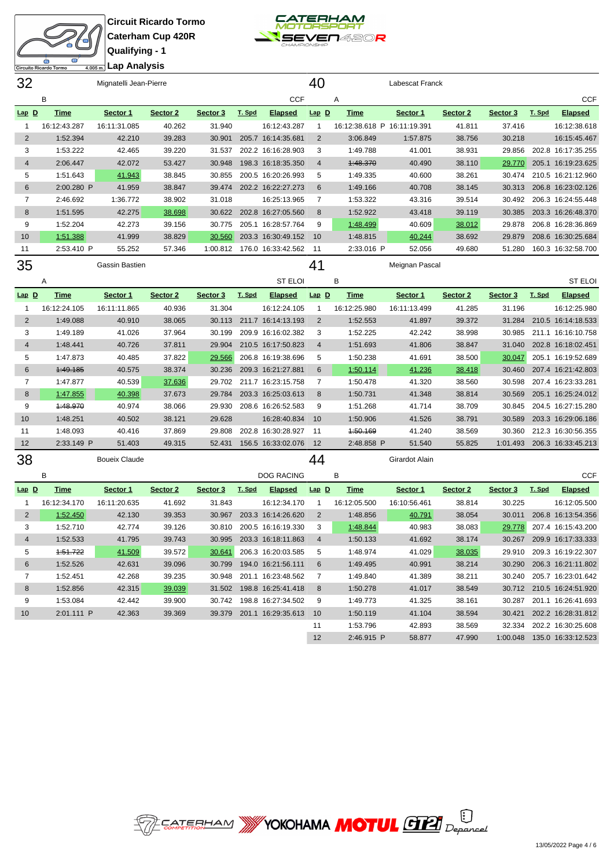

 1:51.722 41.509 39.572 30.641 206.3 16:20:03.585 1:52.526 42.631 39.096 30.799 194.0 16:21:56.111 1:52.451 42.268 39.235 30.948 201.1 16:23:48.562 1:52.856 42.315 39.039 31.502 198.8 16:25:41.418 1:53.084 42.442 39.900 30.742 198.8 16:27:34.502 2:01.111 P 42.363 39.369 39.379 201.1 16:29:35.613



|    |  | ⊺∝uamynig -          |  |
|----|--|----------------------|--|
| mo |  | 4.005 m. Lap Analysi |  |
|    |  |                      |  |

|                 | œ<br>Circuito Ricardo Tormo | 4.005m Lap Analysis    |          |          |        |                    |                |                             |                 |          |          |        |                    |
|-----------------|-----------------------------|------------------------|----------|----------|--------|--------------------|----------------|-----------------------------|-----------------|----------|----------|--------|--------------------|
| 32              |                             | Mignatelli Jean-Pierre |          |          |        |                    | 40             |                             | Labescat Franck |          |          |        |                    |
|                 | В                           |                        |          |          |        | <b>CCF</b>         |                | Α                           |                 |          |          |        | <b>CCF</b>         |
| $Lap$ $D$       | <b>Time</b>                 | Sector 1               | Sector 2 | Sector 3 | T. Spd | <b>Elapsed</b>     | $Lap$ $D$      | <b>Time</b>                 | Sector 1        | Sector 2 | Sector 3 | T. Spd | <b>Elapsed</b>     |
| $\mathbf{1}$    | 16:12:43.287                | 16:11:31.085           | 40.262   | 31.940   |        | 16:12:43.287       | $\mathbf{1}$   | 16:12:38.618 P 16:11:19.391 |                 | 41.811   | 37.416   |        | 16:12:38.618       |
| 2               | 1:52.394                    | 42.210                 | 39.283   | 30.901   |        | 205.7 16:14:35.681 | $\overline{2}$ | 3:06.849                    | 1:57.875        | 38.756   | 30.218   |        | 16:15:45.467       |
| 3               | 1:53.222                    | 42.465                 | 39.220   | 31.537   |        | 202.2 16:16:28.903 | 3              | 1:49.788                    | 41.001          | 38.931   | 29.856   |        | 202.8 16:17:35.255 |
| $\overline{4}$  | 2:06.447                    | 42.072                 | 53.427   | 30.948   |        | 198.3 16:18:35.350 | $\overline{4}$ | 4:48.370                    | 40.490          | 38.110   | 29.770   |        | 205.1 16:19:23.625 |
| 5               | 1:51.643                    | 41.943                 | 38.845   | 30.855   |        | 200.5 16:20:26.993 | 5              | 1:49.335                    | 40.600          | 38.261   | 30.474   |        | 210.5 16:21:12.960 |
| $6\phantom{1}6$ | 2:00.280 P                  | 41.959                 | 38.847   | 39.474   |        | 202.2 16:22:27.273 | 6              | 1:49.166                    | 40.708          | 38.145   | 30.313   |        | 206.8 16:23:02.126 |
| $\overline{7}$  | 2:46.692                    | 1:36.772               | 38.902   | 31.018   |        | 16:25:13.965       | 7              | 1:53.322                    | 43.316          | 39.514   | 30.492   |        | 206.3 16:24:55.448 |
| 8               | 1:51.595                    | 42.275                 | 38.698   | 30.622   |        | 202.8 16:27:05.560 | 8              | 1:52.922                    | 43.418          | 39.119   | 30.385   |        | 203.3 16:26:48.370 |
| 9               | 1:52.204                    | 42.273                 | 39.156   | 30.775   |        | 205.1 16:28:57.764 | 9              | 1:48.499                    | 40.609          | 38.012   | 29.878   |        | 206.8 16:28:36.869 |
| 10              | 1:51.388                    | 41.999                 | 38.829   | 30.560   |        | 203.3 16:30:49.152 | 10             | 1:48.815                    | 40.244          | 38.692   | 29.879   |        | 208.6 16:30:25.684 |
| 11              | 2:53.410 P                  | 55.252                 | 57.346   | 1:00.812 |        | 176.0 16:33:42.562 | -11            | 2:33.016 P                  | 52.056          | 49.680   | 51.280   |        | 160.3 16:32:58.700 |
| 35              |                             | Gassin Bastien         |          |          |        |                    | 41             |                             | Meignan Pascal  |          |          |        |                    |
|                 | Α                           |                        |          |          |        | <b>ST ELOI</b>     |                | В                           |                 |          |          |        | <b>ST ELOI</b>     |
| $Lap$ $D$       | <b>Time</b>                 | Sector 1               | Sector 2 | Sector 3 | T. Spd | <b>Elapsed</b>     | $Lap$ $D$      | <b>Time</b>                 | Sector 1        | Sector 2 | Sector 3 | T. Spd | <b>Elapsed</b>     |
| $\mathbf{1}$    | 16:12:24.105                | 16:11:11.865           | 40.936   | 31.304   |        | 16:12:24.105       | $\overline{1}$ | 16:12:25.980                | 16:11:13.499    | 41.285   | 31.196   |        | 16:12:25.980       |
| 2               | 1:49.088                    | 40.910                 | 38.065   | 30.113   |        | 211.7 16:14:13.193 | $\overline{2}$ | 1:52.553                    | 41.897          | 39.372   | 31.284   |        | 210.5 16:14:18.533 |
| 3               | 1:49.189                    | 41.026                 | 37.964   | 30.199   |        | 209.9 16:16:02.382 | 3              | 1:52.225                    | 42.242          | 38.998   | 30.985   |        | 211.1 16:16:10.758 |
| $\overline{4}$  | 1:48.441                    | 40.726                 | 37.811   | 29.904   |        | 210.5 16:17:50.823 | $\overline{4}$ | 1:51.693                    | 41.806          | 38.847   | 31.040   |        | 202.8 16:18:02.451 |
| 5               | 1:47.873                    | 40.485                 | 37.822   | 29.566   |        | 206.8 16:19:38.696 | 5              | 1:50.238                    | 41.691          | 38.500   | 30.047   |        | 205.1 16:19:52.689 |
| $6\phantom{1}6$ | 1:49.185                    | 40.575                 | 38.374   | 30.236   |        | 209.3 16:21:27.881 | 6              | 1:50.114                    | 41.236          | 38.418   | 30.460   |        | 207.4 16:21:42.803 |
| $\overline{7}$  | 1:47.877                    | 40.539                 | 37.636   | 29.702   |        | 211.7 16:23:15.758 | $\overline{7}$ | 1:50.478                    | 41.320          | 38.560   | 30.598   |        | 207.4 16:23:33.281 |
| 8               | 1:47.855                    | 40.398                 | 37.673   | 29.784   |        | 203.3 16:25:03.613 | 8              | 1:50.731                    | 41.348          | 38.814   | 30.569   |        | 205.1 16:25:24.012 |
| 9               | 1:48.970                    | 40.974                 | 38.066   | 29.930   |        | 208.6 16:26:52.583 | 9              | 1:51.268                    | 41.714          | 38.709   | 30.845   |        | 204.5 16:27:15.280 |
| 10              | 1:48.251                    | 40.502                 | 38.121   | 29.628   |        | 16:28:40.834       | 10             | 1:50.906                    | 41.526          | 38.791   | 30.589   |        | 203.3 16:29:06.186 |
| 11              | 1:48.093                    | 40.416                 | 37.869   | 29.808   |        | 202.8 16:30:28.927 | -11            | 4:50.169                    | 41.240          | 38.569   | 30.360   |        | 212.3 16:30:56.355 |
| 12              | 2:33.149 P                  | 51.403                 | 49.315   | 52.431   |        | 156.5 16:33:02.076 | 12             | 2:48.858 P                  | 51.540          | 55.825   | 1:01.493 |        | 206.3 16:33:45.213 |
| 38              |                             | <b>Boueix Claude</b>   |          |          |        |                    | 44             |                             | Girardot Alain  |          |          |        |                    |
|                 | B                           |                        |          |          |        | <b>DOG RACING</b>  |                | B                           |                 |          |          |        | <b>CCF</b>         |
| $Lap$ $D$       | <b>Time</b>                 | Sector 1               | Sector 2 | Sector 3 | T. Spd | <b>Elapsed</b>     | $Lap$ $D$      | <b>Time</b>                 | Sector 1        | Sector 2 | Sector 3 | T. Spd | <b>Elapsed</b>     |
| $\mathbf{1}$    | 16:12:34.170                | 16:11:20.635           | 41.692   | 31.843   |        | 16:12:34.170       | $\overline{1}$ | 16:12:05.500                | 16:10:56.461    | 38.814   | 30.225   |        | 16:12:05.500       |
| $\overline{2}$  | 1:52.450                    | 42.130                 | 39.353   | 30.967   |        | 203.3 16:14:26.620 | $\overline{2}$ | 1:48.856                    | 40.791          | 38.054   | 30.011   |        | 206.8 16:13:54.356 |
| 3               | 1:52.710                    | 42.774                 | 39.126   | 30.810   |        | 200.5 16:16:19.330 | 3              | 1:48.844                    | 40.983          | 38.083   | 29.778   |        | 207.4 16:15:43.200 |
| $\overline{4}$  | 1:52.533                    | 41.795                 | 39.743   | 30.995   |        | 203.3 16:18:11.863 | $\overline{4}$ | 1:50.133                    | 41.692          | 38.174   | 30.267   |        | 209.9 16:17:33.333 |



 1:48.974 41.029 38.035 29.910 209.3 16:19:22.307 1:49.495 40.991 38.214 30.290 206.3 16:21:11.802 1:49.840 41.389 38.211 30.240 205.7 16:23:01.642 1:50.278 41.017 38.549 30.712 210.5 16:24:51.920 1:49.773 41.325 38.161 30.287 201.1 16:26:41.693 1:50.119 41.104 38.594 30.421 202.2 16:28:31.812 1:53.796 42.893 38.569 32.334 202.2 16:30:25.608 2:46.915 P 58.877 47.990 1:00.048 135.0 16:33:12.523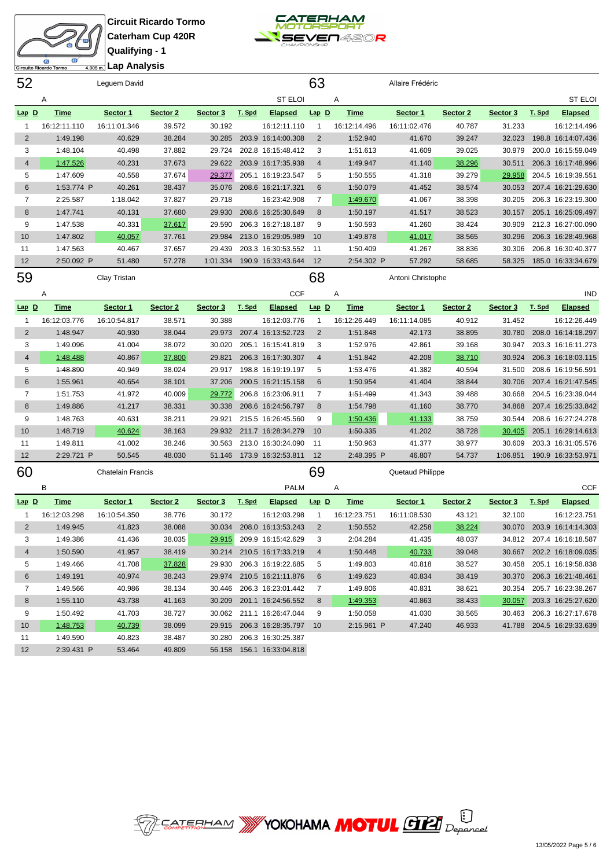



**Lap Analysis**

| 52             |              | Leguem David             |                     |          |        |                       | 63             |              | Allaire Frédéric  |          |          |        |                           |
|----------------|--------------|--------------------------|---------------------|----------|--------|-----------------------|----------------|--------------|-------------------|----------|----------|--------|---------------------------|
|                | Α            |                          |                     |          |        | <b>ST ELOI</b>        |                | Α            |                   |          |          |        | <b>ST ELOI</b>            |
| Lap D          | <b>Time</b>  | Sector 1                 | Sector 2            | Sector 3 | T. Spd | <b>Elapsed</b>        | $Lap$ D        | <b>Time</b>  | Sector 1          | Sector 2 | Sector 3 | T. Spd | <b>Elapsed</b>            |
| 1              | 16:12:11.110 | 16:11:01.346             | 39.572              | 30.192   |        | 16:12:11.110          | $\overline{1}$ | 16:12:14.496 | 16:11:02.476      | 40.787   | 31.233   |        | 16:12:14.496              |
| 2              | 1:49.198     | 40.629                   | 38.284              | 30.285   |        | 203.9 16:14:00.308    | $\overline{2}$ | 1:52.940     | 41.670            | 39.247   | 32.023   |        | 198.8 16:14:07.436        |
| 3              | 1:48.104     | 40.498                   | 37.882              | 29.724   |        | 202.8 16:15:48.412    | 3              | 1:51.613     | 41.609            | 39.025   | 30.979   |        | 200.0 16:15:59.049        |
| $\overline{4}$ | 1:47.526     | 40.231                   | 37.673              | 29.622   |        | 203.9 16:17:35.938    | $\overline{4}$ | 1:49.947     | 41.140            | 38.296   | 30.511   |        | 206.3 16:17:48.996        |
| 5              | 1:47.609     | 40.558                   | 37.674              | 29.377   |        | 205.1 16:19:23.547    | 5              | 1:50.555     | 41.318            | 39.279   | 29.958   |        | 204.5 16:19:39.551        |
| 6              | 1:53.774 P   | 40.261                   | 38.437              | 35.076   |        | 208.6 16:21:17.321    | 6              | 1:50.079     | 41.452            | 38.574   | 30.053   |        | 207.4 16:21:29.630        |
| $\overline{7}$ | 2:25.587     | 1:18.042                 | 37.827              | 29.718   |        | 16:23:42.908          | $\overline{7}$ | 1:49.670     | 41.067            | 38.398   | 30.205   |        | 206.3 16:23:19.300        |
| 8              | 1:47.741     | 40.131                   | 37.680              | 29.930   |        | 208.6 16:25:30.649    | 8              | 1:50.197     | 41.517            | 38.523   | 30.157   |        | 205.1 16:25:09.497        |
| 9              | 1:47.538     | 40.331                   | 37.617              | 29.590   |        | 206.3 16:27:18.187    | 9              | 1:50.593     | 41.260            | 38.424   | 30.909   |        | 212.3 16:27:00.090        |
| 10             | 1:47.802     | 40.057                   | 37.761              | 29.984   |        | 213.0 16:29:05.989    | 10             | 1:49.878     | 41.017            | 38.565   | 30.296   |        | 206.3 16:28:49.968        |
| 11             | 1:47.563     | 40.467                   | 37.657              | 29.439   |        | 203.3 16:30:53.552    | 11             | 1:50.409     | 41.267            | 38.836   | 30.306   |        | 206.8 16:30:40.377        |
| 12             | 2:50.092 P   | 51.480                   | 57.278              | 1:01.334 |        | 190.9 16:33:43.644    | 12             | 2:54.302 P   | 57.292            | 58.685   | 58.325   |        | 185.0 16:33:34.679        |
| 59             |              | Clay Tristan             |                     |          |        |                       | 68             |              | Antoni Christophe |          |          |        |                           |
|                | Α            |                          |                     |          |        | <b>CCF</b>            |                | Α            |                   |          |          |        | IND                       |
| $Lap$ D        | <b>Time</b>  | Sector 1                 | Sector <sub>2</sub> | Sector 3 | T. Spd | <b>Elapsed</b>        | $Lap$ $D$      | <b>Time</b>  | Sector 1          | Sector 2 | Sector 3 | T. Spd | <b>Elapsed</b>            |
| 1              | 16:12:03.776 | 16:10:54.817             | 38.571              | 30.388   |        | 16:12:03.776          | -1             | 16:12:26.449 | 16:11:14.085      | 40.912   | 31.452   |        | 16:12:26.449              |
| 2              | 1:48.947     | 40.930                   | 38.044              | 29.973   |        | 207.4 16:13:52.723    | $\overline{2}$ | 1:51.848     | 42.173            | 38.895   | 30.780   |        | 208.0 16:14:18.297        |
| 3              | 1:49.096     | 41.004                   | 38.072              | 30.020   |        | 205.1 16:15:41.819    | 3              | 1:52.976     | 42.861            | 39.168   | 30.947   |        | 203.3 16:16:11.273        |
| $\overline{4}$ | 1:48.488     | 40.867                   | 37.800              | 29.821   |        | 206.3 16:17:30.307    | 4              | 1:51.842     | 42.208            | 38.710   | 30.924   |        | 206.3 16:18:03.115        |
| 5              | 4:48.890     | 40.949                   | 38.024              | 29.917   |        | 198.8 16:19:19.197    | 5              | 1:53.476     | 41.382            | 40.594   | 31.500   |        | 208.6 16:19:56.591        |
| 6              | 1:55.961     | 40.654                   | 38.101              | 37.206   |        | 200.5 16:21:15.158    | 6              | 1:50.954     | 41.404            | 38.844   | 30.706   |        | 207.4 16:21:47.545        |
| 7              | 1:51.753     | 41.972                   | 40.009              | 29.772   |        | 206.8 16:23:06.911    | 7              | 1:51.499     | 41.343            | 39.488   | 30.668   |        | 204.5 16:23:39.044        |
| 8              | 1:49.886     | 41.217                   | 38.331              | 30.338   |        | 208.6 16:24:56.797    | 8              | 1:54.798     | 41.160            | 38.770   | 34.868   |        | 207.4 16:25:33.842        |
| 9              | 1:48.763     | 40.631                   | 38.211              | 29.921   |        | 215.5 16:26:45.560    | 9              | 1:50.436     | 41.133            | 38.759   | 30.544   |        | 208.6 16:27:24.278        |
| 10             | 1:48.719     | 40.624                   | 38.163              | 29.932   |        | 211.7 16:28:34.279    | 10             | 1:50.335     | 41.202            | 38.728   | 30.405   |        | 205.1 16:29:14.613        |
| 11             | 1:49.811     | 41.002                   | 38.246              | 30.563   |        | 213.0 16:30:24.090    | 11             | 1:50.963     | 41.377            | 38.977   | 30.609   |        | 203.3 16:31:05.576        |
| 12             | 2:29.721 P   | 50.545                   | 48.030              | 51.146   |        | 173.9 16:32:53.811    | 12             | 2:48.395 P   | 46.807            | 54.737   | 1:06.851 |        | 190.9 16:33:53.971        |
| 60             |              | <b>Chatelain Francis</b> |                     |          |        |                       | 69             |              | Quetaud Philippe  |          |          |        |                           |
|                | B            |                          |                     |          |        | <b>PALM</b>           |                | Α            |                   |          |          |        | <b>CCF</b>                |
| $Lap$ $D$      | <b>Time</b>  | Sector 1                 | Sector <sub>2</sub> | Sector 3 | T. Spd | <b>Elapsed</b>        | $Lap$ D        | <b>Time</b>  | Sector 1          | Sector 2 | Sector 3 | T. Spd | <b>Elapsed</b>            |
| 1              | 16:12:03.298 | 16:10:54.350             | 38.776              | 30.172   |        | 16:12:03.298          | -1             | 16:12:23.751 | 16:11:08.530      | 43.121   | 32.100   |        | 16:12:23.751              |
| $\overline{2}$ | 1:49.945     | 41.823                   | 38.088              | 30.034   |        | 208.0 16:13:53.243    | $\overline{2}$ | 1:50.552     | 42.258            | 38.224   | 30.070   |        | 203.9 16:14:14.303        |
| 3              | 1:49.386     | 41.436                   | 38.035              | 29.915   |        | 209.9 16:15:42.629    | 3              | 2:04.284     | 41.435            | 48.037   |          |        | 34.812 207.4 16:16:18.587 |
| $\overline{4}$ | 1:50.590     | 41.957                   | 38.419              | 30.214   |        | 210.5 16:17:33.219    | $\overline{4}$ | 1:50.448     | 40.733            | 39.048   | 30.667   |        | 202.2 16:18:09.035        |
| 5              | 1:49.466     | 41.708                   | 37.828              | 29.930   |        | 206.3 16:19:22.685    | 5              | 1:49.803     | 40.818            | 38.527   | 30.458   |        | 205.1 16:19:58.838        |
| 6              | 1:49.191     | 40.974                   | 38.243              | 29.974   |        | 210.5 16:21:11.876    | 6              | 1:49.623     | 40.834            | 38.419   | 30.370   |        | 206.3 16:21:48.461        |
| 7              | 1:49.566     | 40.986                   | 38.134              | 30.446   |        | 206.3 16:23:01.442    | 7              | 1:49.806     | 40.831            | 38.621   | 30.354   |        | 205.7 16:23:38.267        |
| 8              | 1:55.110     | 43.738                   | 41.163              | 30.209   |        | 201.1 16:24:56.552    | 8              | 1:49.353     | 40.863            | 38.433   | 30.057   |        | 203.3 16:25:27.620        |
| 9              | 1:50.492     | 41.703                   | 38.727              | 30.062   |        | 211.1 16:26:47.044    | 9              | 1:50.058     | 41.030            | 38.565   | 30.463   |        | 206.3 16:27:17.678        |
| 10             | 1:48.753     | 40.739                   | 38.099              | 29.915   |        | 206.3 16:28:35.797 10 |                | 2:15.961 P   | 47.240            | 46.933   |          |        | 41.788 204.5 16:29:33.639 |
| 11             | 1:49.590     | 40.823                   | 38.487              | 30.280   |        | 206.3 16:30:25.387    |                |              |                   |          |          |        |                           |
| 12             | 2:39.431 P   | 53.464                   | 49.809              | 56.158   |        | 156.1 16:33:04.818    |                |              |                   |          |          |        |                           |

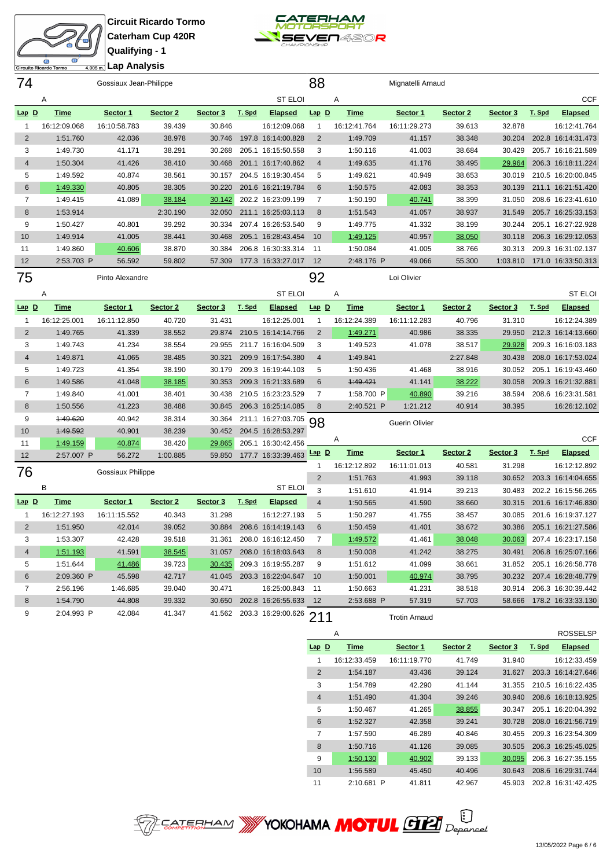



| 74             |              | Gossiaux Jean-Philippe |          |          |        |                        | 88               |              | Mignatelli Arnaud    |          |          |        |                           |
|----------------|--------------|------------------------|----------|----------|--------|------------------------|------------------|--------------|----------------------|----------|----------|--------|---------------------------|
|                | Α            |                        |          |          |        | <b>ST ELOI</b>         |                  | Α            |                      |          |          |        | <b>CCF</b>                |
| Lap D          | <b>Time</b>  | Sector 1               | Sector 2 | Sector 3 | T. Spd | <b>Elapsed</b>         | $Lap$ $D$        | <b>Time</b>  | Sector 1             | Sector 2 | Sector 3 | T. Spd | <b>Elapsed</b>            |
| 1              | 16:12:09.068 | 16:10:58.783           | 39.439   | 30.846   |        | 16:12:09.068           | $\mathbf{1}$     | 16:12:41.764 | 16:11:29.273         | 39.613   | 32.878   |        | 16:12:41.764              |
| $\overline{2}$ | 1:51.760     | 42.036                 | 38.978   | 30.746   |        | 197.8 16:14:00.828     | 2                | 1:49.709     | 41.157               | 38.348   | 30.204   |        | 202.8 16:14:31.473        |
| 3              | 1:49.730     | 41.171                 | 38.291   | 30.268   |        | 205.1 16:15:50.558     | 3                | 1:50.116     | 41.003               | 38.684   | 30.429   |        | 205.7 16:16:21.589        |
| $\overline{4}$ | 1:50.304     | 41.426                 | 38.410   | 30.468   |        | 201.1 16:17:40.862     | $\overline{4}$   | 1:49.635     | 41.176               | 38.495   | 29.964   |        | 206.3 16:18:11.224        |
| 5              | 1:49.592     | 40.874                 | 38.561   | 30.157   |        | 204.5 16:19:30.454     | 5                | 1:49.621     | 40.949               | 38.653   | 30.019   |        | 210.5 16:20:00.845        |
| 6              | 1:49.330     | 40.805                 | 38.305   | 30.220   |        | 201.6 16:21:19.784     | 6                | 1:50.575     | 42.083               | 38.353   | 30.139   |        | 211.1 16:21:51.420        |
| $\overline{7}$ | 1:49.415     | 41.089                 | 38.184   | 30.142   |        | 202.2 16:23:09.199     | $\overline{7}$   | 1:50.190     | 40.741               | 38.399   | 31.050   |        | 208.6 16:23:41.610        |
| 8              | 1:53.914     |                        | 2:30.190 | 32.050   |        | 211.1 16:25:03.113     | 8                | 1:51.543     | 41.057               | 38.937   | 31.549   |        | 205.7 16:25:33.153        |
| 9              | 1:50.427     | 40.801                 | 39.292   | 30.334   |        | 207.4 16:26:53.540     | 9                | 1:49.775     | 41.332               | 38.199   | 30.244   |        | 205.1 16:27:22.928        |
| 10             | 1:49.914     | 41.005                 | 38.441   | 30.468   |        | 205.1 16:28:43.454     | 10               | 1:49.125     | 40.957               | 38.050   | 30.118   |        | 206.3 16:29:12.053        |
| 11             | 1:49.860     | 40.606                 | 38.870   | 30.384   |        | 206.8 16:30:33.314     | 11               | 1:50.084     | 41.005               | 38.766   | 30.313   |        | 209.3 16:31:02.137        |
| 12             | 2:53.703 P   | 56.592                 | 59.802   | 57.309   |        | 177.3 16:33:27.017     | 12               | 2:48.176 P   | 49.066               | 55.300   | 1:03.810 |        | 171.0 16:33:50.313        |
| 75             |              | Pinto Alexandre        |          |          |        |                        | 92               |              | Loi Olivier          |          |          |        |                           |
|                | Α            |                        |          |          |        | <b>ST ELOI</b>         |                  | Α            |                      |          |          |        | <b>ST ELOI</b>            |
| Lap D          | <b>Time</b>  | Sector 1               | Sector 2 | Sector 3 | T. Spd | <b>Elapsed</b>         | $Lap$ $D$        | <b>Time</b>  | Sector 1             | Sector 2 | Sector 3 | T. Spd | <b>Elapsed</b>            |
| 1              | 16:12:25.001 | 16:11:12.850           | 40.720   | 31.431   |        | 16:12:25.001           | $\mathbf{1}$     | 16:12:24.389 | 16:11:12.283         | 40.796   | 31.310   |        | 16:12:24.389              |
| $\overline{2}$ | 1:49.765     | 41.339                 | 38.552   | 29.874   |        | 210.5 16:14:14.766     | $\overline{2}$   | 1:49.271     | 40.986               | 38.335   | 29.950   |        | 212.3 16:14:13.660        |
| 3              | 1:49.743     | 41.234                 | 38.554   | 29.955   |        | 211.7 16:16:04.509     | 3                | 1:49.523     | 41.078               | 38.517   | 29.928   |        | 209.3 16:16:03.183        |
| $\overline{4}$ | 1:49.871     | 41.065                 | 38.485   | 30.321   |        | 209.9 16:17:54.380     | $\overline{4}$   | 1:49.841     |                      | 2:27.848 | 30.438   |        | 208.0 16:17:53.024        |
| 5              | 1:49.723     | 41.354                 | 38.190   | 30.179   |        | 209.3 16:19:44.103     | 5                | 1:50.436     | 41.468               | 38.916   | 30.052   |        | 205.1 16:19:43.460        |
| 6              | 1:49.586     | 41.048                 | 38.185   | 30.353   |        | 209.3 16:21:33.689     | 6                | 1:49.421     | 41.141               | 38.222   | 30.058   |        | 209.3 16:21:32.881        |
| $\overline{7}$ | 1:49.840     | 41.001                 | 38.401   | 30.438   |        | 210.5 16:23:23.529     | 7                | 1:58.700 P   | 40.890               | 39.216   | 38.594   |        | 208.6 16:23:31.581        |
| 8              | 1:50.556     | 41.223                 | 38.488   | 30.845   |        | 206.3 16:25:14.085     | 8                | 2:40.521 P   | 1:21.212             | 40.914   | 38.395   |        | 16:26:12.102              |
| 9              | 1:49.620     | 40.942                 | 38.314   | 30.364   |        | 211.1 16:27:03.705     | 98               |              | Guerin Olivier       |          |          |        |                           |
| 10             | 1:49.592     | 40.901                 | 38.239   | 30.452   |        | 204.5 16:28:53.297     |                  |              |                      |          |          |        |                           |
| 11             | 1:49.159     | 40.874                 | 38.420   | 29.865   |        | 205.1 16:30:42.456     |                  | A            |                      |          |          |        | <b>CCF</b>                |
| 12             | 2:57.007 P   | 56.272                 | 1:00.885 | 59.850   |        | 177.7 16:33:39.463     | Lap <sub>D</sub> | <b>Time</b>  | Sector 1             | Sector 2 | Sector 3 | T. Spd | <b>Elapsed</b>            |
| 76             |              | Gossiaux Philippe      |          |          |        |                        | 1                | 16:12:12.892 | 16:11:01.013         | 40.581   | 31.298   |        | 16:12:12.892              |
|                | B            |                        |          |          |        | <b>ST ELOI</b>         | $\overline{2}$   | 1:51.763     | 41.993               | 39.118   | 30.652   |        | 203.3 16:14:04.655        |
|                |              |                        |          |          |        |                        | 3                | 1:51.610     | 41.914               | 39.213   | 30.483   |        | 202.2 16:15:56.265        |
| $Lap$ $D$      | <b>Time</b>  | Sector 1               | Sector 2 | Sector 3 | T. Spd | <b>Elapsed</b>         | $\overline{4}$   | 1:50.565     | 41.590               | 38.660   | 30.315   |        | 201.6 16:17:46.830        |
| 1              | 16:12:27.193 | 16:11:15.552           | 40.343   | 31.298   |        | 16:12:27.193           | 5                | 1:50.297     | 41.755               | 38.457   | 30.085   |        | 201.6 16:19:37.127        |
| $\overline{2}$ | 1:51.950     | 42.014                 | 39.052   | 30.884   |        | 208.6 16:14:19.143     | 6                | 1:50.459     | 41.401               | 38.672   | 30.386   |        | 205.1 16:21:27.586        |
| 3              | 1:53.307     | 42.428                 | 39.518   | 31.361   |        | 208.0 16:16:12.450     | $\overline{7}$   | 1:49.572     | 41.461               | 38.048   |          |        | 30.063 207.4 16:23:17.158 |
| 4              | 1:51.193     | 41.591                 | 38.545   | 31.057   |        | 208.0 16:18:03.643     | 8                | 1:50.008     | 41.242               | 38.275   | 30.491   |        | 206.8 16:25:07.166        |
| 5              | 1:51.644     | 41.486                 | 39.723   | 30.435   |        | 209.3 16:19:55.287     | 9                | 1:51.612     | 41.099               | 38.661   |          |        | 31.852 205.1 16:26:58.778 |
| 6              | 2:09.360 P   | 45.598                 | 42.717   | 41.045   |        | 203.3 16:22:04.647     | 10               | 1:50.001     | 40.974               | 38.795   |          |        | 30.232 207.4 16:28:48.779 |
| $\overline{7}$ | 2:56.196     | 1:46.685               | 39.040   | 30.471   |        | 16:25:00.843           | -11              | 1:50.663     | 41.231               | 38.518   | 30.914   |        | 206.3 16:30:39.442        |
| 8              | 1:54.790     | 44.808                 | 39.332   | 30.650   |        | 202.8 16:26:55.633     | 12               | 2:53.688 P   | 57.319               | 57.703   |          |        | 58.666 178.2 16:33:33.130 |
| 9              | 2:04.993 P   | 42.084                 | 41.347   | 41.562   |        | 203.3 16:29:00.626 211 |                  |              | <b>Trotin Arnaud</b> |          |          |        |                           |

|                | A            |              |          |          |        | <b>ROSSELSP</b>    |
|----------------|--------------|--------------|----------|----------|--------|--------------------|
| $Lap$ D        | Time         | Sector 1     | Sector 2 | Sector 3 | T. Spd | <b>Elapsed</b>     |
| 1              | 16:12:33.459 | 16:11:19.770 | 41.749   | 31.940   |        | 16:12:33.459       |
| 2              | 1:54.187     | 43.436       | 39.124   | 31.627   | 203.3  | 16:14:27.646       |
| 3              | 1:54.789     | 42.290       | 41.144   | 31.355   |        | 210.5 16:16:22.435 |
| $\overline{4}$ | 1:51.490     | 41.304       | 39.246   | 30.940   |        | 208.6 16:18:13.925 |
| 5              | 1:50.467     | 41.265       | 38.855   | 30.347   | 205.1  | 16:20:04.392       |
| 6              | 1:52.327     | 42.358       | 39.241   | 30.728   | 208.0  | 16:21:56.719       |
| 7              | 1:57.590     | 46.289       | 40.846   | 30.455   | 209.3  | 16:23:54.309       |
| 8              | 1:50.716     | 41.126       | 39.085   | 30.505   |        | 206.3 16:25:45.025 |
| 9              | 1:50.130     | 40.902       | 39.133   | 30.095   |        | 206.3 16:27:35.155 |
| 10             | 1:56.589     | 45.450       | 40.496   | 30.643   |        | 208.6 16:29:31.744 |

2:10.681 P 41.811 42.967 45.903 202.8 16:31:42.425

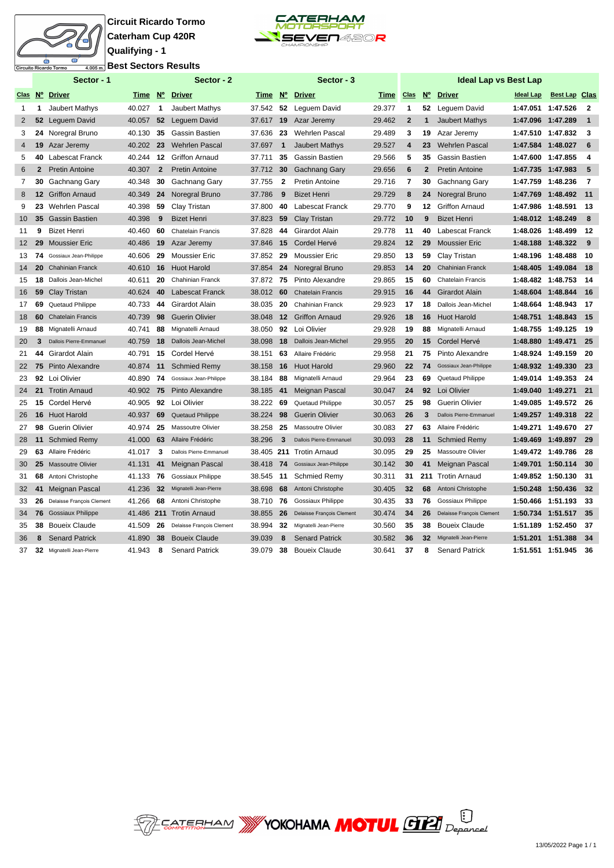

# **Circuit Ricardo Tormo Caterham Cup 420R Qualifying - 1 Best Sectors Results**



|                 |                | Sector - 1                |           |                | Sector - 2                |        |              | Sector - 3                |             |                |                | <b>Ideal Lap vs Best Lap</b> |                   |                      |                         |
|-----------------|----------------|---------------------------|-----------|----------------|---------------------------|--------|--------------|---------------------------|-------------|----------------|----------------|------------------------------|-------------------|----------------------|-------------------------|
|                 |                | Clas Nº Driver            | Time N°   |                | <b>Driver</b>             | Time   | $N^{\circ}$  | <b>Driver</b>             | <b>Time</b> | <b>Clas</b>    | $N^{\circ}$    | <b>Driver</b>                | <b>Ideal Lap</b>  | <b>Best Lap Clas</b> |                         |
| 1               | 1              | Jaubert Mathys            | 40.027    | 1              | Jaubert Mathys            | 37.542 | 52           | Leguem David              | 29.377      | $\mathbf{1}$   | 52             | Lequem David                 | 1:47.051 1:47.526 |                      | $\overline{\mathbf{2}}$ |
| $\overline{2}$  | 52             | Leguem David              | 40.057    | 52             | Leguem David              | 37.617 | 19           | Azar Jeremy               | 29.462      | $\overline{2}$ | 1              | <b>Jaubert Mathys</b>        | 1:47.096 1:47.289 |                      | $\mathbf{1}$            |
| 3               |                | 24 Noregral Bruno         | 40.130    | 35             | Gassin Bastien            | 37.636 | 23           | Wehrlen Pascal            | 29.489      | 3              | 19             | Azar Jeremy                  | 1:47.510 1:47.832 |                      | 3                       |
| $\overline{4}$  | 19             | Azar Jeremy               | 40.202 23 |                | <b>Wehrlen Pascal</b>     | 37.697 | $\mathbf{1}$ | <b>Jaubert Mathys</b>     | 29.527      | $\overline{4}$ | 23             | <b>Wehrlen Pascal</b>        | 1:47.584 1:48.027 |                      | 6                       |
| 5               | 40             | Labescat Franck           | 40.244    | $12 \,$        | Griffon Arnaud            | 37.711 | 35           | Gassin Bastien            | 29.566      | 5              | 35             | Gassin Bastien               | 1:47.600 1:47.855 |                      | $\overline{4}$          |
| 6               | $\overline{2}$ | <b>Pretin Antoine</b>     | 40.307    | $\overline{2}$ | <b>Pretin Antoine</b>     | 37.712 | 30           | Gachnang Gary             | 29.656      | 6              | $\overline{2}$ | <b>Pretin Antoine</b>        | 1:47.735          | 1:47.983             | 5                       |
| 7               | 30             | Gachnang Gary             | 40.348    | 30             | Gachnang Gary             | 37.755 | $\mathbf{2}$ | <b>Pretin Antoine</b>     | 29.716      | $\overline{7}$ | 30             | Gachnang Gary                | 1:47.759          | 1:48.236             | $\overline{7}$          |
| 8               |                | 12 Griffon Arnaud         | 40.349    | 24             | Noregral Bruno            | 37.786 | 9            | <b>Bizet Henri</b>        | 29.729      | 8              | 24             | Noregral Bruno               | 1:47.769          | 1:48.492             | 11                      |
| 9               | 23             | <b>Wehrlen Pascal</b>     | 40.398    | 59             | Clay Tristan              | 37.800 | 40           | <b>Labescat Franck</b>    | 29.770      | 9              | 12             | <b>Griffon Arnaud</b>        | 1:47.986          | 1:48.591             | 13                      |
| 10 <sup>°</sup> |                | 35 Gassin Bastien         | 40.398    | 9              | <b>Bizet Henri</b>        | 37.823 | 59           | <b>Clay Tristan</b>       | 29.772      | 10             | 9              | <b>Bizet Henri</b>           | 1:48.012 1:48.249 |                      | 8                       |
| 11              | 9              | <b>Bizet Henri</b>        | 40.460    | 60             | <b>Chatelain Francis</b>  | 37.828 | 44           | Girardot Alain            | 29.778      | 11             | 40             | Labescat Franck              | 1:48.026 1:48.499 |                      | 12                      |
| 12 <sup>2</sup> | 29             | <b>Moussier Eric</b>      | 40.486    | 19             | Azar Jeremy               | 37.846 | 15           | Cordel Hervé              | 29.824      | 12             | 29             | <b>Moussier Eric</b>         | 1:48.188          | 1:48.322             | 9                       |
| 13              | 74             | Gossiaux Jean-Philippe    | 40.606    | 29             | <b>Moussier Eric</b>      | 37.852 | 29           | <b>Moussier Eric</b>      | 29.850      | 13             | 59             | Clay Tristan                 | 1:48.196 1:48.488 |                      | 10                      |
| 14              | 20             | <b>Chahinian Franck</b>   | 40.610 16 |                | <b>Huot Harold</b>        | 37.854 | 24           | Noregral Bruno            | 29.853      | 14             | 20             | <b>Chahinian Franck</b>      | 1:48.405          | 1:49.084             | 18                      |
| 15              | 18             | Dallois Jean-Michel       | 40.611    | 20             | <b>Chahinian Franck</b>   | 37.872 | 75           | Pinto Alexandre           | 29.865      | 15             | 60             | <b>Chatelain Francis</b>     | 1:48.482 1:48.753 |                      | 14                      |
| 16              | 59             | Clay Tristan              | 40.624    | 40             | <b>Labescat Franck</b>    | 38.012 | 60           | <b>Chatelain Francis</b>  | 29.915      | 16             | 44             | Girardot Alain               | 1:48.604 1:48.844 |                      | 16                      |
| 17              | 69             | Quetaud Philippe          | 40.733    | 44             | Girardot Alain            | 38.035 | 20           | <b>Chahinian Franck</b>   | 29.923      | 17             | 18             | Dallois Jean-Michel          | 1:48.664 1:48.943 |                      | 17                      |
| 18              | 60             | <b>Chatelain Francis</b>  | 40.739    | 98             | <b>Guerin Olivier</b>     | 38.048 | $12 \,$      | <b>Griffon Arnaud</b>     | 29.926      | 18             | 16             | <b>Huot Harold</b>           | 1:48.751          | 1:48.843             | 15                      |
| 19              | 88             | Mignatelli Arnaud         | 40.741    | 88             | Mignatelli Arnaud         | 38.050 | 92           | Loi Olivier               | 29.928      | 19             | 88             | Mignatelli Arnaud            | 1:48.755 1:49.125 |                      | 19                      |
| 20              | 3              | Dallois Pierre-Emmanuel   | 40.759    | 18             | Dallois Jean-Michel       | 38.098 | 18           | Dallois Jean-Michel       | 29.955      | 20             | 15             | Cordel Hervé                 | 1:48.880 1:49.471 |                      | 25                      |
| 21              | 44             | Girardot Alain            | 40.791    | 15             | Cordel Hervé              | 38.151 | 63           | Allaire Frédéric          | 29.958      | 21             | 75             | Pinto Alexandre              | 1:48.924 1:49.159 |                      | 20                      |
| 22 <sub>2</sub> |                | <b>75</b> Pinto Alexandre | 40.874    | 11             | <b>Schmied Remy</b>       | 38.158 | 16           | <b>Huot Harold</b>        | 29.960      | 22             | 74             | Gossiaux Jean-Philippe       | 1:48.932 1:49.330 |                      | 23                      |
| 23              | 92             | Loi Olivier               | 40.890 74 |                | Gossiaux Jean-Philippe    | 38.184 | 88           | Mignatelli Arnaud         | 29.964      | 23             | 69             | Quetaud Philippe             | 1:49.014 1:49.353 |                      | 24                      |
| 24              | 21             | <b>Trotin Arnaud</b>      | 40.902 75 |                | Pinto Alexandre           | 38.185 | 41           | Meignan Pascal            | 30.047      | 24             | 92             | Loi Olivier                  | 1:49.040 1:49.271 |                      | 21                      |
| 25              | 15             | Cordel Hervé              | 40.905 92 |                | Loi Olivier               | 38.222 | 69           | Quetaud Philippe          | 30.057      | 25             | 98             | <b>Guerin Olivier</b>        |                   | 1:49.085 1:49.572    | 26                      |
| 26              |                | 16 Huot Harold            | 40.937    | 69             | Quetaud Philippe          | 38.224 | 98           | <b>Guerin Olivier</b>     | 30.063      | 26             | 3              | Dallois Pierre-Emmanuel      |                   | 1:49.257 1:49.318    | 22                      |
| 27              |                | 98 Guerin Olivier         | 40.974    | 25             | Massoutre Olivier         | 38.258 | 25           | <b>Massoutre Olivier</b>  | 30.083      | 27             | 63             | Allaire Frédéric             |                   | 1:49.271 1:49.670    | 27                      |
| 28              |                | 11 Schmied Remy           | 41.000    | 63             | Allaire Frédéric          | 38.296 | 3            | Dallois Pierre-Emmanuel   | 30.093      | 28             | 11             | <b>Schmied Remy</b>          | 1:49.469          | 1:49.897             | 29                      |
| 29              | 63             | Allaire Frédéric          | 41.017    | 3              | Dallois Pierre-Emmanuel   |        |              | 38.405 211 Trotin Arnaud  | 30.095      | 29             | 25             | Massoutre Olivier            | 1:49.472 1:49.786 |                      | 28                      |
| 30              |                | 25 Massoutre Olivier      | 41.131    | 41             | Meignan Pascal            | 38.418 | 74           | Gossiaux Jean-Philippe    | 30.142      | 30             | 41             | Meignan Pascal               | 1:49.701          | 1:50.114             | 30                      |
| 31              | 68             | Antoni Christophe         | 41.133    | 76             | <b>Gossiaux Philippe</b>  | 38.545 | 11           | <b>Schmied Remy</b>       | 30.311      | 31             | 211            | <b>Trotin Arnaud</b>         | 1:49.852 1:50.130 |                      | 31                      |
| 32              | 41             | Meignan Pascal            | 41.236    | 32             | Mignatelli Jean-Pierre    | 38.698 | 68           | Antoni Christophe         | 30.405      | 32             | 68             | Antoni Christophe            | 1:50.248 1:50.436 |                      | -32                     |
| 33              | 26             | Delaisse François Clement | 41.266    | 68             | Antoni Christophe         | 38.710 | 76           | Gossiaux Philippe         | 30.435      | 33             | 76             | <b>Gossiaux Philippe</b>     | 1:50.466 1:51.193 |                      | -33                     |
| 34              | 76             | <b>Gossiaux Philippe</b>  |           |                | 41.486 211 Trotin Arnaud  | 38.855 | 26           | Delaisse François Clement | 30.474      | 34             | 26             | Delaisse François Clement    | 1:50.734 1:51.517 |                      | -35                     |
| 35              | 38             | <b>Boueix Claude</b>      | 41.509    | 26             | Delaisse François Clement | 38.994 | 32           | Mignatelli Jean-Pierre    | 30.560      | 35             | 38             | <b>Boueix Claude</b>         | 1:51.189 1:52.450 |                      | 37                      |
| 36              | 8              | <b>Senard Patrick</b>     | 41.890    | 38             | <b>Boueix Claude</b>      | 39.039 | 8            | <b>Senard Patrick</b>     | 30.582      | 36             | 32             | Mignatelli Jean-Pierre       | 1:51.201          | 1:51.388             | 34                      |
| 37              |                | 32 Mignatelli Jean-Pierre | 41.943    | 8              | <b>Senard Patrick</b>     | 39.079 | 38           | <b>Boueix Claude</b>      | 30.641      | 37             | 8              | <b>Senard Patrick</b>        | 1:51.551 1:51.945 |                      | 36                      |

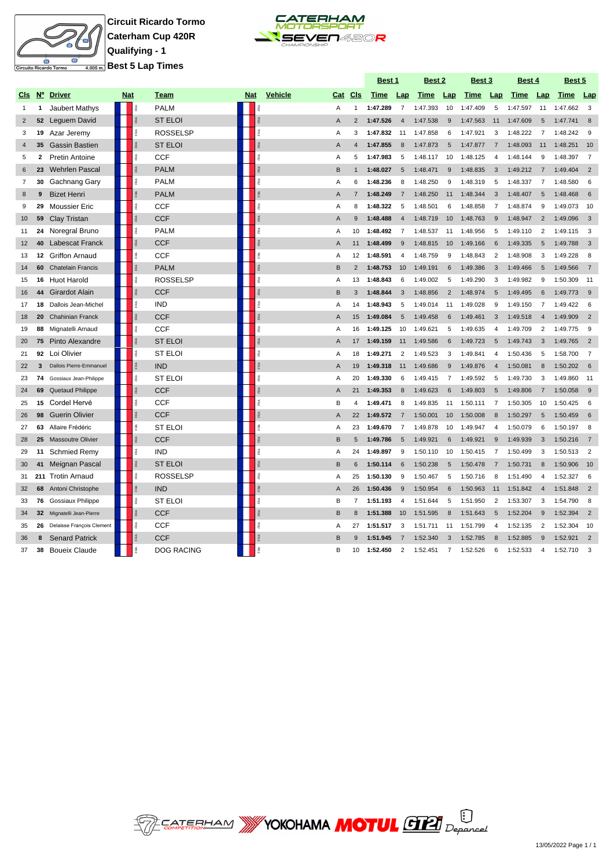

**Circuit Ricardo Tormo Caterham Cup 420R Qualifying - 1 Best 5 Lap Times**



|                |                |                           |     |    |                   |     |                |                |                | Best 1   |                 | <u>Best 2</u> |                | <u>Best 3</u> |                | <u>Best 4</u> |                         | <u>Best 5</u> |                         |
|----------------|----------------|---------------------------|-----|----|-------------------|-----|----------------|----------------|----------------|----------|-----------------|---------------|----------------|---------------|----------------|---------------|-------------------------|---------------|-------------------------|
| CIs            | N <sup>o</sup> | <b>Driver</b>             | Nat |    | Team              | Nat | <b>Vehicle</b> | Cat            | <b>CIs</b>     | Time     | Lap             | <b>Time</b>   | Lap            | <b>Time</b>   | Lap            | Time          | Lap                     | <b>Time</b>   | Lap                     |
| $\mathbf{1}$   | 1              | Jaubert Mathys            |     |    | <b>PALM</b>       |     |                | Α              | $\mathbf 1$    | 1:47.289 | $\overline{7}$  | 1:47.393      | 10             | 1:47.409      | 5              | 1:47.597      | 11                      | 1:47.662      | 3                       |
| $\overline{2}$ | 52             | Leguem David              |     |    | <b>ST ELOI</b>    |     | 臣              | A              | 2              | 1:47.526 | $\overline{4}$  | 1:47.538      | 9              | 1:47.563      | 11             | 1:47.609      | 5                       | 1:47.741      | 8                       |
| 3              | 19             | Azar Jeremy               |     |    | <b>ROSSELSP</b>   |     | iRA.           | A              | 3              | 1:47.832 | 11              | 1:47.858      | 6              | 1:47.921      | 3              | 1:48.222      | $\overline{7}$          | 1:48.242      | 9                       |
| $\overline{4}$ | 35             | <b>Gassin Bastien</b>     |     |    | <b>ST ELOI</b>    |     |                | A              | $\overline{4}$ | 1:47.855 | 8               | 1:47.873      | 5              | 1:47.877      | $\overline{7}$ | 1:48.093      | 11                      | 1:48.251      | 10                      |
| 5              | $\mathbf{2}$   | <b>Pretin Antoine</b>     |     |    | <b>CCF</b>        |     | ïRA.           | Α              | 5              | 1:47.983 | 5               | 1:48.117      | 10             | 1:48.125      | $\overline{4}$ | 1:48.144      | 9                       | 1:48.397      | $\overline{7}$          |
| 6              | 23             | <b>Wehrlen Pascal</b>     |     |    | <b>PALM</b>       |     |                | B              | $\mathbf{1}$   | 1:48.027 | $5\overline{5}$ | 1:48.471      | $\mathbf{q}$   | 1:48.835      | 3              | 1:49.212      | $\overline{7}$          | 1:49.404      | $\overline{2}$          |
| $\overline{7}$ | 30             | Gachnang Gary             |     |    | <b>PALM</b>       |     |                | A              | 6              | 1:48.236 | 8               | 1:48.250      | 9              | 1:48.319      | 5              | 1:48.337      | $\overline{7}$          | 1:48.580      | 6                       |
| 8              | 9              | <b>Bizet Henri</b>        |     |    | <b>PALM</b>       |     |                | A              | $\overline{7}$ | 1:48.249 | $\overline{7}$  | 1:48.250      | 11             | 1:48.344      | 3              | 1:48.407      | 5                       | 1:48.468      | 6                       |
| 9              | 29             | <b>Moussier Eric</b>      |     |    | <b>CCF</b>        |     | RA             | Α              | 8              | 1:48.322 | 5               | 1:48.501      | 6              | 1:48.858      | $\overline{7}$ | 1:48.874      | 9                       | 1:49.073      | 10                      |
| 10             | 59             | Clay Tristan              |     |    | <b>CCF</b>        |     |                | $\overline{A}$ | $9\,$          | 1:48.488 | $\overline{4}$  | 1:48.719      | 10             | 1:48.763      | 9              | 1:48.947      | $\overline{2}$          | 1:49.096      | $\overline{3}$          |
| 11             | 24             | Noregral Bruno            |     |    | <b>PALM</b>       |     | ïRA.           | Α              | 10             | 1:48.492 | $\overline{7}$  | 1:48.537      | 11             | 1:48.956      | 5              | 1:49.110      | $\overline{2}$          | 1:49.115      | 3                       |
| 12             | 40             | <b>Labescat Franck</b>    |     |    | <b>CCF</b>        |     |                | A              | 11             | 1:48.499 | 9               | 1:48.815      | 10             | 1:49.166      | 6              | 1:49.335      | $\overline{5}$          | 1:49.788      | $\overline{\mathbf{3}}$ |
| 13             | 12             | <b>Griffon Arnaud</b>     |     |    | <b>CCF</b>        |     | iRA.           | A              | 12             | 1:48.591 | $\overline{4}$  | 1:48.759      | 9              | 1:48.843      | $\overline{2}$ | 1:48.908      | 3                       | 1:49.228      | 8                       |
| 14             | 60             | <b>Chatelain Francis</b>  |     |    | <b>PALM</b>       |     |                | B              | $\overline{2}$ | 1:48.753 | 10              | 1:49.191      | 6              | 1:49.386      | 3              | 1:49.466      | 5                       | 1:49.566      | $\overline{7}$          |
| 15             | 16             | <b>Huot Harold</b>        |     |    | <b>ROSSELSP</b>   |     | iRA.           | A              | 13             | 1:48.843 | 6               | 1:49.002      | 5              | 1:49.290      | 3              | 1:49.982      | 9                       | 1:50.309      | 11                      |
| 16             | 44             | Girardot Alain            |     |    | <b>CCF</b>        |     | RA             | B              | 3              | 1:48.844 | 3               | 1:48.856      | 2              | 1:48.974      | 5              | 1:49.495      | 6                       | 1:49.773      | 9                       |
| 17             | 18             | Dallois Jean-Michel       |     | ē. | <b>IND</b>        |     | iRA.           | A              | 14             | 1:48.943 | 5               | 1:49.014      | 11             | 1:49.028      | 9              | 1:49.150      | 7                       | 1:49.422      | 6                       |
| 18             | 20             | <b>Chahinian Franck</b>   |     |    | <b>CCF</b>        |     |                | A              | 15             | 1:49.084 | 5               | 1:49.458      | 6              | 1:49.461      | 3              | 1:49.518      | $\overline{4}$          | 1:49.909      | $\overline{2}$          |
| 19             | 88             | Mignatelli Arnaud         |     |    | <b>CCF</b>        |     | FØ.            | Α              | 16             | 1:49.125 | 10              | 1:49.621      | 5              | 1:49.635      | $\overline{4}$ | 1:49.709      | $\overline{2}$          | 1:49.775      | 9                       |
| 20             | 75             | Pinto Alexandre           |     |    | <b>ST ELOI</b>    |     |                | A              | 17             | 1:49.159 | 11              | 1:49.586      | 6              | 1:49.723      | 5              | 1:49.743      | 3                       | 1:49.765      | $\overline{2}$          |
| 21             | 92             | Loi Olivier               |     |    | <b>ST ELOI</b>    |     | ŘÁ             | A              | 18             | 1:49.271 | 2               | 1:49.523      | 3              | 1:49.841      | $\overline{4}$ | 1:50.436      | 5                       | 1:58.700      | $\overline{7}$          |
| 22             | 3              | Dallois Pierre-Emmanuel   |     |    | <b>IND</b>        |     |                | $\overline{A}$ | 19             | 1:49.318 | 11              | 1:49.686      | 9              | 1:49.876      | $\overline{4}$ | 1:50.081      | 8                       | 1:50.202      | 6                       |
| 23             | 74             | Gossiaux Jean-Philippe    |     |    | <b>ST ELOI</b>    |     |                | Α              | 20             | 1:49.330 | 6               | 1:49.415      | $\overline{7}$ | 1:49.592      | 5              | 1:49.730      | 3                       | 1:49.860      | 11                      |
| 24             | 69             | Quetaud Philippe          |     |    | <b>CCF</b>        |     |                | A              | 21             | 1:49.353 | 8               | 1:49.623      | 6              | 1:49.803      | 5              | 1:49.806      | $\overline{7}$          | 1:50.058      | -9                      |
| 25             | 15             | Cordel Hervé              |     |    | <b>CCF</b>        |     | Ř4.            | B              | 4              | 1:49.471 | 8               | 1:49.835      | 11             | 1:50.111      | 7              | 1:50.305      | 10                      | 1:50.425      | 6                       |
| 26             | 98             | <b>Guerin Olivier</b>     |     |    | <b>CCF</b>        |     |                | $\overline{A}$ | 22             | 1:49.572 | $\overline{7}$  | 1:50.001      | 10             | 1:50.008      | 8              | 1:50.297      | $5\phantom{.0}$         | 1:50.459      | 6                       |
| 27             | 63             | Allaire Frédéric          |     |    | <b>ST ELOI</b>    |     | iPA.           | Α              | 23             | 1:49.670 | $\overline{7}$  | 1:49.878      | 10             | 1:49.947      | $\overline{4}$ | 1:50.079      | 6                       | 1:50.197      | 8                       |
| 28             | 25             | Massoutre Olivier         |     |    | <b>CCF</b>        |     |                | B              | 5              | 1:49.786 | 5               | 1:49.921      | 6              | 1:49.921      | 9              | 1:49.939      | 3                       | 1:50.216      | $\overline{7}$          |
| 29             | 11             | <b>Schmied Remy</b>       |     | 歪  | <b>IND</b>        |     | iRA.           | A              | 24             | 1:49.897 | 9               | 1:50.110      | 10             | 1:50.415      | $\overline{7}$ | 1:50.499      | 3                       | 1:50.513      | $\overline{2}$          |
| 30             | 41             | <b>Meignan Pascal</b>     |     |    | <b>ST ELOI</b>    |     | RA             | B              | 6              | 1:50.114 | 6               | 1:50.238      | 5              | 1:50.478      | $\overline{7}$ | 1:50.731      | 8                       | 1:50.906      | 10                      |
| 31             | 211            | <b>Trotin Arnaud</b>      |     | 歪  | <b>ROSSELSP</b>   |     | i.             | A              | 25             | 1:50.130 | 9               | 1:50.467      | 5              | 1:50.716      | 8              | 1:51.490      | $\overline{4}$          | 1:52.327      | 6                       |
| 32             | 68             | Antoni Christophe         |     |    | <b>IND</b>        |     |                | A              | 26             | 1:50.436 | 9               | 1:50.954      | 6              | 1:50.963      | 11             | 1:51.842      | $\overline{4}$          | 1:51.848      | $\overline{2}$          |
| 33             | 76             | Gossiaux Philippe         |     | ē. | <b>ST ELOI</b>    |     | ïRA.           | B              | $\overline{7}$ | 1:51.193 | $\overline{4}$  | 1:51.644      | 5              | 1:51.950      | $\overline{2}$ | 1:53.307      | 3                       | 1:54.790      | 8                       |
| 34             | 32             | Mignatelli Jean-Pierre    |     |    | <b>CCF</b>        |     |                | B              | 8              | 1:51.388 | 10              | 1:51.595      | 8              | 1:51.643      | 5              | 1:52.204      | 9                       | 1:52.394      | $\overline{2}$          |
| 35             | 26             | Delaisse François Clement |     |    | <b>CCF</b>        |     | Ř              | Α              | 27             | 1:51.517 | 3               | 1:51.711      | 11             | 1:51.799      | $\overline{4}$ | 1:52.135      | $\overline{2}$          | 1:52.304      | 10                      |
| 36             | 8              | <b>Senard Patrick</b>     |     |    | <b>CCF</b>        |     |                | B              | 9              | 1:51.945 |                 | 1:52.340      | 3              | 1:52.785      | $\mathsf{R}$   | 1:52.885      | 9                       | 1:52.921      | 2                       |
| 37             | 38             | <b>Boueix Claude</b>      |     |    | <b>DOG RACING</b> |     |                | B              | 10             | 1:52.450 | $\overline{2}$  | 1:52.451      | $\overline{7}$ | 1:52.526      | 6              | 1:52.533      | $\overline{\mathbf{A}}$ | 1:52.710      | 3                       |

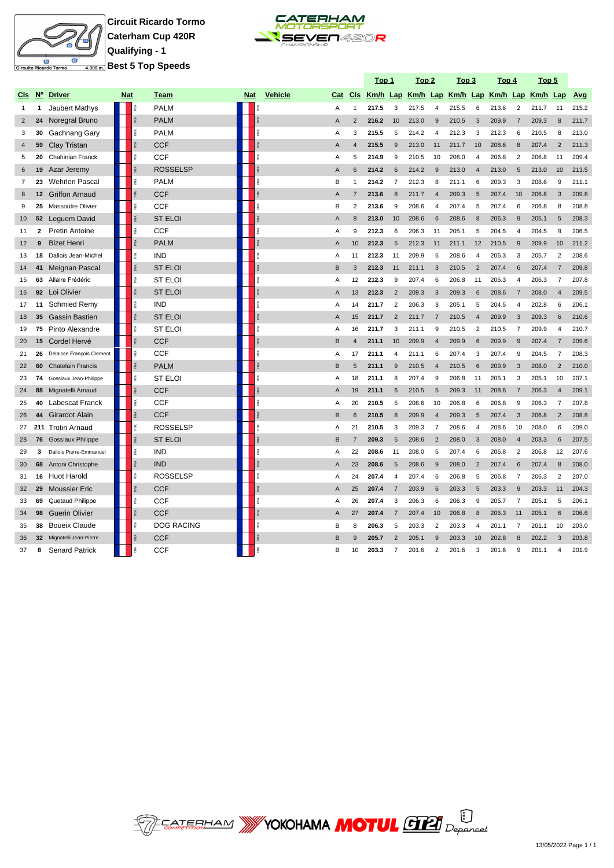

**Circuit Ricardo Tormo Caterham Cup 420R Qualifying - 1 Best 5 Top Speeds**



|                |                 |                           |            |                                       |                   |            |                |                |                | <u>Top 1</u> |                | <u>Top 2</u> |                       | <u>Top 3</u> |                | <u>Top 4</u>                                        |                | <u>Top 5</u> |                |       |
|----------------|-----------------|---------------------------|------------|---------------------------------------|-------------------|------------|----------------|----------------|----------------|--------------|----------------|--------------|-----------------------|--------------|----------------|-----------------------------------------------------|----------------|--------------|----------------|-------|
| CIs            | $N^{\circ}$     | <b>Driver</b>             | <b>Nat</b> |                                       | Team              | <b>Nat</b> | <b>Vehicle</b> | Cat            | CIs            |              |                |              |                       |              |                | <u>Km/h Lap Km/h Lap Km/h Lap Km/h Lap Km/h Lap</u> |                |              |                | Avg   |
| $\mathbf{1}$   | 1               | Jaubert Mathys            |            | î.                                    | <b>PALM</b>       |            |                | Α              | $\overline{1}$ | 217.5        | 3              | 217.5        | $\overline{4}$        | 215.5        | 6              | 213.6                                               | $\overline{2}$ | 211.7        | 11             | 215.2 |
| $\sqrt{2}$     | 24              | Noregral Bruno            |            | FØ.                                   | <b>PALM</b>       |            | Ø              | A              | $\overline{2}$ | 216.2        | 10             | 213.0        | 9                     | 210.5        | 3              | 209.9                                               | $\overline{7}$ | 209.3        | 8              | 211.7 |
| 3              | 30              | Gachnang Gary             |            | FRA                                   | <b>PALM</b>       |            | ŘÁ             | Α              | 3              | 215.5        | 5              | 214.2        | $\overline{4}$        | 212.3        | 3              | 212.3                                               | 6              | 210.5        | 8              | 213.0 |
| $\overline{4}$ | 59              | Clay Tristan              |            | RA                                    | <b>CCF</b>        |            |                | A              | $\overline{4}$ | 215.5        | 9              | 213.0        | 11                    | 211.7        | 10             | 208.6                                               | 8              | 207.4        | $\overline{2}$ | 211.3 |
| 5              | 20              | <b>Chahinian Franck</b>   |            | îRA.                                  | <b>CCF</b>        |            |                | A              | 5              | 214.9        | 9              | 210.5        | 10                    | 208.0        | $\overline{4}$ | 206.8                                               | $\overline{2}$ | 206.8        | 11             | 209.4 |
| 6              | 19              | Azar Jeremy               |            | RA                                    | <b>ROSSELSP</b>   |            |                | A              | 6              | 214.2        | 6              | 214.2        | 9                     | 213.0        | $\overline{4}$ | 213.0                                               | 5              | 213.0        | 10             | 213.5 |
| 7              | 23              | <b>Wehrlen Pascal</b>     |            | ĩRA.                                  | <b>PALM</b>       |            |                | B              | $\overline{1}$ | 214.2        | 7              | 212.3        | 8                     | 211.1        | 6              | 209.3                                               | 3              | 208.6        | 9              | 211.1 |
| 8              | 12 <sub>2</sub> | <b>Griffon Arnaud</b>     |            |                                       | <b>CCF</b>        |            |                | Α              | $\overline{7}$ | 213.6        | 8              | 211.7        | $\overline{4}$        | 209.3        | 5              | 207.4                                               | 10             | 206.8        | 3              | 209.8 |
| 9              | 25              | Massoutre Olivier         |            | 歪                                     | <b>CCF</b>        |            |                | B              | $\overline{2}$ | 213.6        | 9              | 208.6        | $\overline{4}$        | 207.4        | 5              | 207.4                                               | 6              | 206.8        | 8              | 208.8 |
| 10             | 52              | Leguem David              |            | RA.                                   | <b>ST ELOI</b>    |            |                | A              | 8              | 213.0        | 10             | 208.6        | 6                     | 208.6        | 8              | 206.3                                               | $9$            | 205.1        | 5              | 208.3 |
| 11             | $\mathbf{2}$    | <b>Pretin Antoine</b>     |            | Æ,                                    | <b>CCF</b>        |            |                | Α              | 9              | 212.3        | 6              | 206.3        | 11                    | 205.1        | 5              | 204.5                                               | $\overline{4}$ | 204.5        | 9              | 206.5 |
| 12             | 9               | <b>Bizet Henri</b>        |            | RA                                    | <b>PALM</b>       |            |                | A              | 10             | 212.3        | 5              | 212.3        | 11                    | 211.1        | 12             | 210.5                                               | $9$            | 209.9        | 10             | 211.2 |
| 13             | 18              | Dallois Jean-Michel       |            | RA.                                   | <b>IND</b>        |            |                | A              | 11             | 212.3        | 11             | 209.9        | 5                     | 208.6        | $\overline{4}$ | 206.3                                               | 3              | 205.7        | $\overline{2}$ | 208.6 |
| 14             | 41              | Meignan Pascal            |            | $\beta$                               | <b>ST ELOI</b>    |            |                | B              | 3              | 212.3        | 11             | 211.1        | 3                     | 210.5        | 2              | 207.4                                               | 6              | 207.4        | $\overline{7}$ | 209.8 |
| 15             | 63              | Allaire Frédéric          |            | RA.                                   | <b>ST ELOI</b>    |            | Ř              | A              | 12             | 212.3        | 9              | 207.4        | 6                     | 206.8        | 11             | 206.3                                               | 4              | 206.3        | $\overline{7}$ | 207.8 |
| 16             | 92              | Loi Olivier               |            | FRA                                   | <b>ST ELOI</b>    |            |                | $\overline{A}$ | 13             | 212.3        | $\overline{2}$ | 209.3        | 3                     | 209.3        | 6              | 208.6                                               | $\overline{7}$ | 208.0        | $\overline{4}$ | 209.5 |
| 17             | 11              | <b>Schmied Remy</b>       |            | FRA                                   | <b>IND</b>        |            | ŘÁ             | A              | 14             | 211.7        | 2              | 206.3        | 3                     | 205.1        | 5              | 204.5                                               | 4              | 202.8        | 6              | 206.1 |
| 18             | 35              | <b>Gassin Bastien</b>     |            | $\widetilde{\mathbb{R}}^{\mathsf{A}}$ | <b>ST ELOI</b>    |            |                | A              | 15             | 211.7        | $\overline{2}$ | 211.7        | $\overline{7}$        | 210.5        | $\overline{4}$ | 209.9                                               | 3              | 209.3        | 6              | 210.6 |
| 19             | 75              | Pinto Alexandre           |            | 臣                                     | <b>ST ELOI</b>    |            | é              | Α              | 16             | 211.7        | 3              | 211.1        | 9                     | 210.5        | $\overline{2}$ | 210.5                                               | $\overline{7}$ | 209.9        | $\overline{4}$ | 210.7 |
| 20             | 15              | Cordel Hervé              |            | FRA                                   | <b>CCF</b>        |            |                | B              | $\overline{4}$ | 211.1        | 10             | 209.9        | $\overline{4}$        | 209.9        | 6              | 209.9                                               | 9              | 207.4        | $\overline{7}$ | 209.6 |
| 21             | 26              | Delaisse François Clement |            | RA.                                   | <b>CCF</b>        |            |                | A              | 17             | 211.1        | $\overline{4}$ | 211.1        | 6                     | 207.4        | 3              | 207.4                                               | 9              | 204.5        | $\overline{7}$ | 208.3 |
| 22             | 60              | <b>Chatelain Francis</b>  |            |                                       | <b>PALM</b>       |            |                | B              | 5              | 211.1        | 9              | 210.5        | $\boldsymbol{\Delta}$ | 210.5        | 6              | 209.9                                               | 3              | 208.0        | $\overline{2}$ | 210.0 |
| 23             | 74              | Gossiaux Jean-Philippe    |            | RA.                                   | <b>ST ELOI</b>    |            |                | A              | 18             | 211.1        | 8              | 207.4        | 9                     | 206.8        | 11             | 205.1                                               | 3              | 205.1        | 10             | 207.1 |
| 24             | 88              | Mignatelli Arnaud         |            | RA                                    | <b>CCF</b>        |            |                | A              | 19             | 211.1        | 6              | 210.5        | 5                     | 209.3        | 11             | 208.6                                               | $\overline{7}$ | 206.3        | $\overline{4}$ | 209.1 |
| 25             | 40              | <b>Labescat Franck</b>    |            | ŘÃ.                                   | <b>CCF</b>        |            |                | A              | 20             | 210.5        | 5              | 208.6        | 10                    | 206.8        | 6              | 206.8                                               | 9              | 206.3        | $\overline{7}$ | 207.8 |
| 26             | 44              | Girardot Alain            |            | RA                                    | <b>CCF</b>        |            |                | B              | 6              | 210.5        | 8              | 209.9        | $\overline{4}$        | 209.3        | 5              | 207.4                                               | $\mathbf{3}$   | 206.8        | $\overline{2}$ | 208.8 |
| 27             | 211             | <b>Trotin Arnaud</b>      |            | FRA                                   | <b>ROSSELSP</b>   |            |                | A              | 21             | 210.5        | 3              | 209.3        | $\overline{7}$        | 208.6        | $\overline{4}$ | 208.6                                               | 10             | 208.0        | 6              | 209.0 |
| 28             | 76              | <b>Gossiaux Philippe</b>  |            | -RA                                   | <b>ST ELOI</b>    |            | RA             | B              | $\overline{7}$ | 209.3        | 5              | 208.6        | $\overline{2}$        | 208.0        | 3              | 208.0                                               | $\overline{A}$ | 203.3        | 6              | 207.5 |
| 29             | 3               | Dallois Pierre-Emmanuel   |            | RA.                                   | <b>IND</b>        |            |                | A              | 22             | 208.6        | 11             | 208.0        | 5                     | 207.4        | 6              | 206.8                                               | $\overline{2}$ | 206.8        | 12             | 207.6 |
| 30             | 68              | Antoni Christophe         |            | -RA                                   | <b>IND</b>        |            |                | $\overline{A}$ | 23             | 208.6        | 5              | 208.6        | 9                     | 208.0        | 2              | 207.4                                               | 6              | 207.4        | 8              | 208.0 |
| 31             | 16              | <b>Huot Harold</b>        |            | ă,                                    | <b>ROSSELSP</b>   |            | 줊              | A              | 24             | 207.4        | 4              | 207.4        | 6                     | 206.8        | 5              | 206.8                                               | $\overline{7}$ | 206.3        | $\overline{2}$ | 207.0 |
| 32             | 29              | <b>Moussier Eric</b>      |            | RA <sub></sub>                        | <b>CCF</b>        |            |                | $\overline{A}$ | 25             | 207.4        | $\overline{7}$ | 203.9        | 6                     | 203.3        | 5              | 203.3                                               | $9\,$          | 203.3        | 11             | 204.3 |
| 33             | 69              | Quetaud Philippe          |            | Æ,                                    | <b>CCF</b>        |            | ŘÁ             | Α              | 26             | 207.4        | 3              | 206.3        | 6                     | 206.3        | 9              | 205.7                                               | $\overline{7}$ | 205.1        | 5              | 206.1 |
| 34             | 98              | <b>Guerin Olivier</b>     |            |                                       | <b>CCF</b>        |            |                | A              | 27             | 207.4        | $\overline{7}$ | 207.4        | 10                    | 206.8        | 8              | 206.3                                               | 11             | 205.1        | 6              | 206.6 |
| 35             | 38              | <b>Boueix Claude</b>      |            |                                       | <b>DOG RACING</b> |            |                | B              | 8              | 206.3        | 5              | 203.3        | $\overline{2}$        | 203.3        | $\overline{4}$ | 201.1                                               | $\overline{7}$ | 201.1        | 10             | 203.0 |
| 36             | 32              | Mignatelli Jean-Pierre    |            |                                       | <b>CCF</b>        |            |                | B              | 9              | 205.7        | $\mathfrak{p}$ | 205.1        | $\mathbf{Q}$          | 203.3        | 10             | 202.8                                               | $\mathsf{R}$   | 202.2        | 3              | 203.8 |
| 37             | 8               | <b>Senard Patrick</b>     |            |                                       | <b>CCF</b>        |            |                | B              | 10             | 203.3        | $\overline{7}$ | 201.6        | $\mathfrak{p}$        | 201.6        | 3              | 201.6                                               | 9              | 201.1        | $\Delta$       | 201.9 |

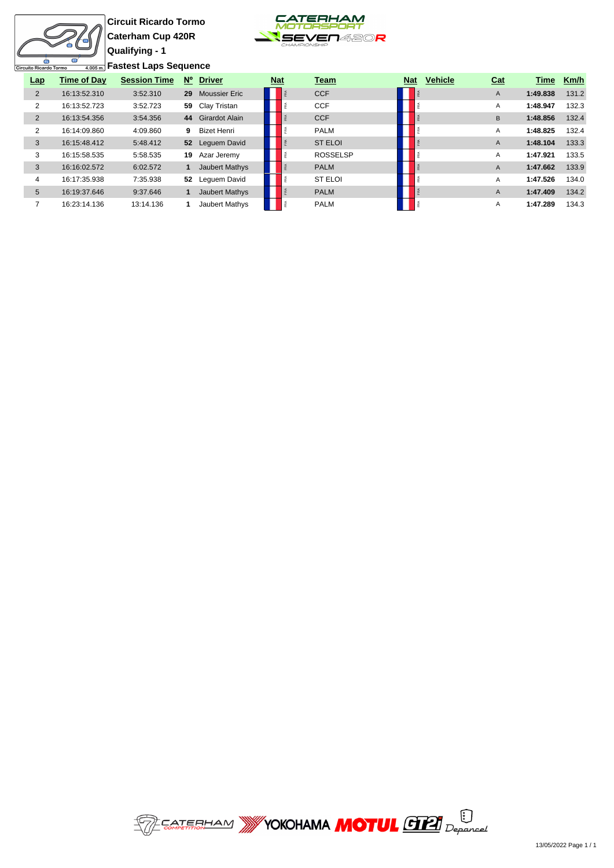**Circuit Ricardo Tormo Caterham Cup 420R Qualifying - 1 Fastest Laps Sequence**

 $\overline{\mathbf{S}}$ 



| Circuito Ricardo Tormo | ST<br>4.005 m.     | <b>∃Fastest Laps Sequence</b> |                 |                       |            |                 |            |                |              |             |       |
|------------------------|--------------------|-------------------------------|-----------------|-----------------------|------------|-----------------|------------|----------------|--------------|-------------|-------|
| <b>Lap</b>             | <b>Time of Day</b> | <b>Session Time</b>           | <b>N°</b>       | <b>Driver</b>         | <b>Nat</b> | <b>Team</b>     | <b>Nat</b> | <b>Vehicle</b> | Cat          | <b>Time</b> | Km/h  |
| 2                      | 16:13:52.310       | 3:52.310                      | 29              | <b>Moussier Eric</b>  |            | <b>CCF</b>      |            |                | $\mathsf{A}$ | 1:49.838    | 131.2 |
| 2                      | 16:13:52.723       | 3:52.723                      | 59              | Clay Tristan          |            | <b>CCF</b>      |            |                | A            | 1:48.947    | 132.3 |
| $\overline{2}$         | 16:13:54.356       | 3:54.356                      | 44              | <b>Girardot Alain</b> |            | <b>CCF</b>      |            |                | B            | 1:48.856    | 132.4 |
| 2                      | 16:14:09.860       | 4:09.860                      | 9               | <b>Bizet Henri</b>    |            | <b>PALM</b>     |            |                | A            | 1:48.825    | 132.4 |
| 3                      | 16:15:48.412       | 5:48.412                      | 52 <sub>2</sub> | Lequem David          |            | <b>ST ELOI</b>  |            |                | $\mathsf{A}$ | 1:48.104    | 133.3 |
| 3                      | 16:15:58.535       | 5:58.535                      | 19              | Azar Jeremy           |            | <b>ROSSELSP</b> |            |                | A            | 1:47.921    | 133.5 |
| 3                      | 16:16:02.572       | 6:02.572                      |                 | Jaubert Mathys        |            | <b>PALM</b>     |            |                | $\mathsf{A}$ | 1:47.662    | 133.9 |
| 4                      | 16:17:35.938       | 7:35.938                      | 52              | Lequem David          |            | <b>ST ELOI</b>  |            |                | A            | 1:47.526    | 134.0 |
| 5                      | 16:19:37.646       | 9:37.646                      |                 | Jaubert Mathys        |            | <b>PALM</b>     |            |                | $\mathsf{A}$ | 1:47.409    | 134.2 |
| 7                      | 16:23:14.136       | 13:14.136                     |                 | Jaubert Mathys        |            | <b>PALM</b>     |            |                | A            | 1:47.289    | 134.3 |

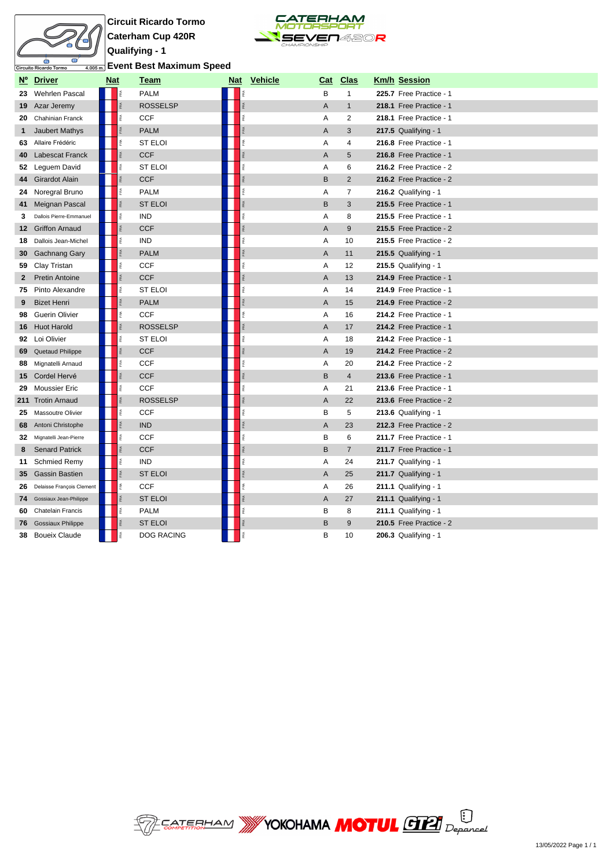

Circuito Ricardo Tormo

**Circuit Ricardo Tormo Caterham Cup 420R Qualifying - 1**



## **Event Best Maximum Speed**

|                 | Nº Driver                 | <b>Nat</b> | <u>Team</u>            |      | Nat Vehicle | <u>Cat</u>     | <b>Clas</b>    | <b>Km/h Session</b>     |
|-----------------|---------------------------|------------|------------------------|------|-------------|----------------|----------------|-------------------------|
| 23              | <b>Wehrlen Pascal</b>     |            | <b>PALM</b>            |      |             | B              | $\mathbf{1}$   | 225.7 Free Practice - 1 |
| 19              | Azar Jeremy               |            | <b>ROSSELSP</b>        |      |             | $\overline{A}$ | $\mathbf{1}$   | 218.1 Free Practice - 1 |
| 20              | Chahinian Franck          |            | îRA.<br><b>CCF</b>     | RA.  |             | Α              | $\overline{2}$ | 218.1 Free Practice - 1 |
| 1               | <b>Jaubert Mathys</b>     |            | <b>PALM</b>            |      |             | A              | 3              | $217.5$ Qualifying - 1  |
| 63              | Allaire Frédéric          |            | îRA.<br><b>ST ELOI</b> | FRA  |             | Α              | $\overline{4}$ | 216.8 Free Practice - 1 |
| 40              | Labescat Franck           |            | <b>CCF</b>             |      |             | A              | 5              | 216.8 Free Practice - 1 |
| 52              | Leguem David              |            | <b>ST ELOI</b><br>ī.   | ß.   |             | Α              | 6              | 216.2 Free Practice - 2 |
| 44              | Girardot Alain            |            | <b>CCF</b>             |      |             | $\mathsf B$    | 2              | 216.2 Free Practice - 2 |
| 24              | Noregral Bruno            |            | <b>PALM</b>            | FRA  |             | Α              | $\overline{7}$ | $216.2$ Qualifying - 1  |
| 41              | Meignan Pascal            |            | <b>ST ELOI</b>         |      |             | B              | 3              | 215.5 Free Practice - 1 |
| 3               | Dallois Pierre-Emmanuel   |            | <b>IND</b><br>é        | ă.   |             | Α              | 8              | 215.5 Free Practice - 1 |
| 12 <sup>1</sup> | <b>Griffon Arnaud</b>     |            | <b>CCF</b>             |      |             | A              | 9              | 215.5 Free Practice - 2 |
| 18              | Dallois Jean-Michel       |            | <b>IND</b><br>ě        | FRA  |             | Α              | 10             | 215.5 Free Practice - 2 |
| 30              | Gachnang Gary             |            | <b>PALM</b>            |      |             | A              | 11             | $215.5$ Qualifying - 1  |
| 59              | Clay Tristan              |            | <b>CCF</b>             | FRA  |             | Α              | 12             | 215.5 Qualifying - 1    |
| $\mathbf{2}$    | <b>Pretin Antoine</b>     |            | <b>CCF</b>             |      |             | A              | 13             | 214.9 Free Practice - 1 |
| 75              | Pinto Alexandre           |            | <b>ST ELOI</b>         | ŘÁ   |             | Α              | 14             | 214.9 Free Practice - 1 |
| 9               | <b>Bizet Henri</b>        |            | <b>PALM</b>            |      |             | $\overline{A}$ | 15             | 214.9 Free Practice - 2 |
| 98              | Guerin Olivier            |            | <b>CCF</b>             | é    |             | Α              | 16             | 214.2 Free Practice - 1 |
| 16              | <b>Huot Harold</b>        |            | <b>ROSSELSP</b>        |      |             | $\mathsf{A}$   | 17             | 214.2 Free Practice - 1 |
| 92              | Loi Olivier               |            | <b>ST ELOI</b>         |      |             | Α              | 18             | 214.2 Free Practice - 1 |
| 69              | Quetaud Philippe          |            | <b>CCF</b>             |      |             | A              | 19             | 214.2 Free Practice - 2 |
| 88              | Mignatelli Arnaud         |            | CCF                    |      |             | Α              | 20             | 214.2 Free Practice - 2 |
| 15              | Cordel Hervé              |            | <b>CCF</b>             |      |             | B              | $\overline{4}$ | 213.6 Free Practice - 1 |
| 29              | <b>Moussier Eric</b>      |            | <b>CCF</b>             |      |             | A              | 21             | 213.6 Free Practice - 1 |
|                 | 211 Trotin Arnaud         |            | <b>ROSSELSP</b>        |      |             | A              | 22             | 213.6 Free Practice - 2 |
| 25              | Massoutre Olivier         |            | <b>CCF</b>             |      |             | B              | 5              | $213.6$ Qualifying - 1  |
| 68              | Antoni Christophe         |            | <b>IND</b>             |      |             | $\overline{A}$ | 23             | 212.3 Free Practice - 2 |
| 32              | Mignatelli Jean-Pierre    |            | <b>CCF</b>             |      |             | B              | 6              | 211.7 Free Practice - 1 |
| 8               | <b>Senard Patrick</b>     |            | <b>CCF</b>             |      |             | B              | $\overline{7}$ | 211.7 Free Practice - 1 |
| 11              | <b>Schmied Remy</b>       |            | <b>IND</b>             |      |             | Α              | 24             | 211.7 Qualifying - 1    |
| 35              | <b>Gassin Bastien</b>     |            | <b>ST ELOI</b>         |      |             | $\overline{A}$ | 25             | 211.7 Qualifying - 1    |
| 26              | Delaisse François Clement |            | CCF<br>Ř               |      |             | Α              | 26             | $211.1$ Qualifying - 1  |
| 74              | Gossiaux Jean-Philippe    |            | īRA.<br><b>ST ELOI</b> |      |             | A              | 27             | 211.1 Qualifying - 1    |
| 60              | <b>Chatelain Francis</b>  |            | <b>PALM</b>            |      |             | B              | 8              | $211.1$ Qualifying - 1  |
| 76              | <b>Gossiaux Philippe</b>  |            | <b>ST ELOI</b>         |      |             | B              | 9              | 210.5 Free Practice - 2 |
| 38              | <b>Boueix Claude</b>      |            | 歪<br><b>DOG RACING</b> | îRA. |             | B              | 10             | $206.3$ Qualifying - 1  |

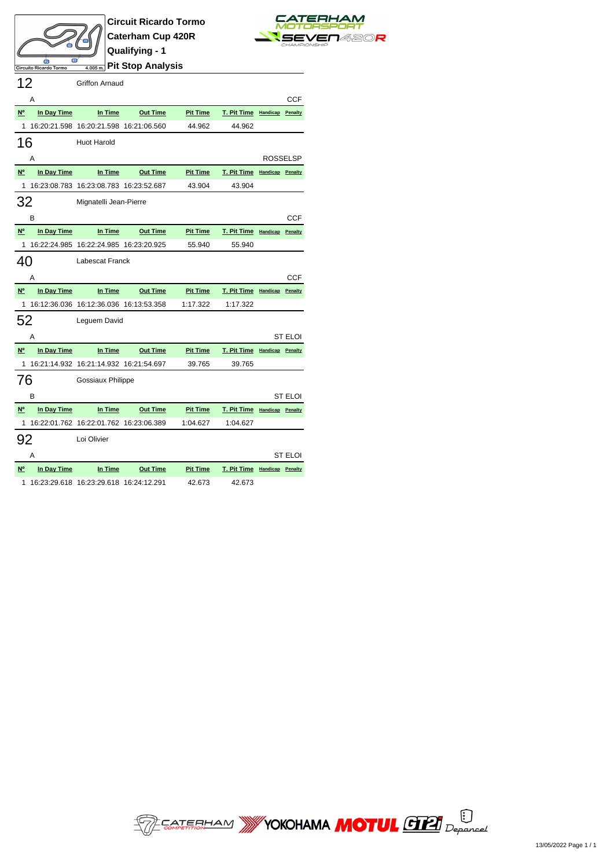



**Pit Stop Analysis**

| 12          |              | <b>Griffon Arnaud</b>                    |                 |                 |                              |                 |                |
|-------------|--------------|------------------------------------------|-----------------|-----------------|------------------------------|-----------------|----------------|
|             | Α            |                                          |                 |                 |                              |                 | <b>CCF</b>     |
| N°          | In Day Time  | In Time                                  | <b>Out Time</b> | <b>Pit Time</b> | T. Pit Time Handicap         |                 | Penalty        |
| 1           | 16:20:21.598 | 16:20:21.598                             | 16:21:06.560    | 44.962          | 44.962                       |                 |                |
| 16          |              | <b>Huot Harold</b>                       |                 |                 |                              |                 |                |
|             | A            |                                          |                 |                 |                              | <b>ROSSELSP</b> |                |
| N°          | In Day Time  | In Time                                  | <b>Out Time</b> | <b>Pit Time</b> | T. Pit Time Handicap Penalty |                 |                |
| 1           |              | 16:23:08.783  16:23:08.783  16:23:52.687 |                 | 43.904          | 43.904                       |                 |                |
| 32          |              | Mignatelli Jean-Pierre                   |                 |                 |                              |                 |                |
|             | в            |                                          |                 |                 |                              |                 | CCF            |
| N°          | In Day Time  | In Time                                  | <b>Out Time</b> | <b>Pit Time</b> | T. Pit Time Handicap         |                 | Penalty        |
| 1           |              | 16:22:24.985  16:22:24.985  16:23:20.925 |                 | 55.940          | 55.940                       |                 |                |
| 40          |              | Labescat Franck                          |                 |                 |                              |                 |                |
|             | А            |                                          |                 |                 |                              |                 | <b>CCF</b>     |
| N°          | In Day Time  | In Time                                  | <b>Out Time</b> | <b>Pit Time</b> | T. Pit Time Handicap         |                 | Penalty        |
| 1           |              | 16:12:36.036  16:12:36.036  16:13:53.358 |                 | 1:17.322        | 1:17.322                     |                 |                |
| 52          |              | Leguem David                             |                 |                 |                              |                 |                |
|             | А            |                                          |                 |                 |                              |                 | <b>ST ELOI</b> |
| N°          | In Day Time  | In Time                                  | <b>Out Time</b> | <b>Pit Time</b> | T. Pit Time Handicap Penalty |                 |                |
| 1           |              | 16:21:14.932  16:21:14.932  16:21:54.697 |                 | 39.765          | 39.765                       |                 |                |
| 76          |              | Gossiaux Philippe                        |                 |                 |                              |                 |                |
|             | В            |                                          |                 |                 |                              |                 | <b>ST ELOI</b> |
| <b>N°</b>   | In Day Time  | In Time                                  | <b>Out Time</b> | <b>Pit Time</b> | T. Pit Time Handicap Penalty |                 |                |
| 1           |              | 16:22:01.762 16:22:01.762 16:23:06.389   |                 | 1:04.627        | 1:04.627                     |                 |                |
| 92          |              | Loi Olivier                              |                 |                 |                              |                 |                |
|             |              |                                          |                 |                 |                              |                 |                |
|             | А            |                                          |                 |                 |                              |                 | <b>ST ELOI</b> |
| $N^{\circ}$ | In Day Time  | In Time                                  | <b>Out Time</b> | <b>Pit Time</b> | T. Pit Time Handicap Penalty |                 |                |

1 16:23:29.618 16:23:29.618 16:24:12.291 42.673 42.673